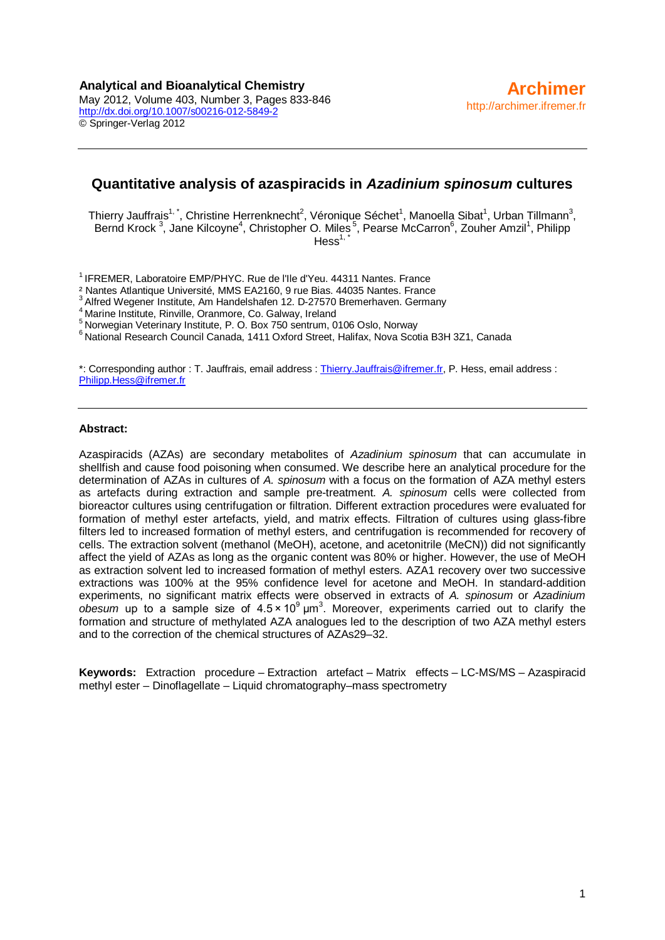## **Quantitative analysis of azaspiracids in** *Azadinium spinosum* **cultures**

Thierry Jauffrais<sup>1,\*</sup>, Christine Herrenknecht<sup>2</sup>, Véronique Séchet<sup>1</sup>, Manoella Sibat<sup>1</sup>, Urban Tillmann<sup>3</sup>, Bernd Krock<sup>3</sup>, Jane Kilcoyne<sup>4</sup>, Christopher O. Miles<sup>5</sup>, Pearse McCarron<sup>6</sup>, Zouher Amzil<sup>1</sup>, Philipp  $Hess<sup>1</sup>$ 

<sup>1</sup> IFREMER, Laboratoire EMP/PHYC. Rue de l'Ile d'Yeu. 44311 Nantes. France<br><sup>2</sup> Nantes Atlantigue Université, MMS EA2160, 9 rue Bias. 44035 Nantes. France

<sup>3</sup> Alfred Wegener Institute, Am Handelshafen 12. D-27570 Bremerhaven. Germany<br><sup>4</sup> Marine Institute, Rinville, Oranmore, Co. Galway, Ireland<br><sup>5</sup> Norwegian Veterinary Institute, P. O. Box 750 sentrum, 0106 Oslo, Norway<br><sup>6</sup>

\*: Corresponding author : T. Jauffrais, email address : [Thierry.Jauffrais@ifremer.fr,](mailto:Thierry.Jauffrais@ifremer.fr) P. Hess, email address : [Philipp.Hess@ifremer.fr](mailto:Philipp.Hess@ifremer.fr)

#### **Abstract:**

Azaspiracids (AZAs) are secondary metabolites of *Azadinium spinosum* that can accumulate in shellfish and cause food poisoning when consumed. We describe here an analytical procedure for the determination of AZAs in cultures of *A. spinosum* with a focus on the formation of AZA methyl esters as artefacts during extraction and sample pre-treatment. *A. spinosum* cells were collected from bioreactor cultures using centrifugation or filtration. Different extraction procedures were evaluated for formation of methyl ester artefacts, yield, and matrix effects. Filtration of cultures using glass-fibre filters led to increased formation of methyl esters, and centrifugation is recommended for recovery of cells. The extraction solvent (methanol (MeOH), acetone, and acetonitrile (MeCN)) did not significantly affect the yield of AZAs as long as the organic content was 80% or higher. However, the use of MeOH as extraction solvent led to increased formation of methyl esters. AZA1 recovery over two successive extractions was 100% at the 95% confidence level for acetone and MeOH. In standard-addition experiments, no significant matrix effects were observed in extracts of *A. spinosum* or *Azadinium obesum* up to a sample size of 4.5 × 10<sup>9</sup> μm<sup>3</sup> . Moreover, experiments carried out to clarify the formation and structure of methylated AZA analogues led to the description of two AZA methyl esters and to the correction of the chemical structures of AZAs29–32.

**Keywords:** Extraction procedure – Extraction artefact – Matrix effects – LC-MS/MS – Azaspiracid methyl ester – Dinoflagellate – Liquid chromatography–mass spectrometry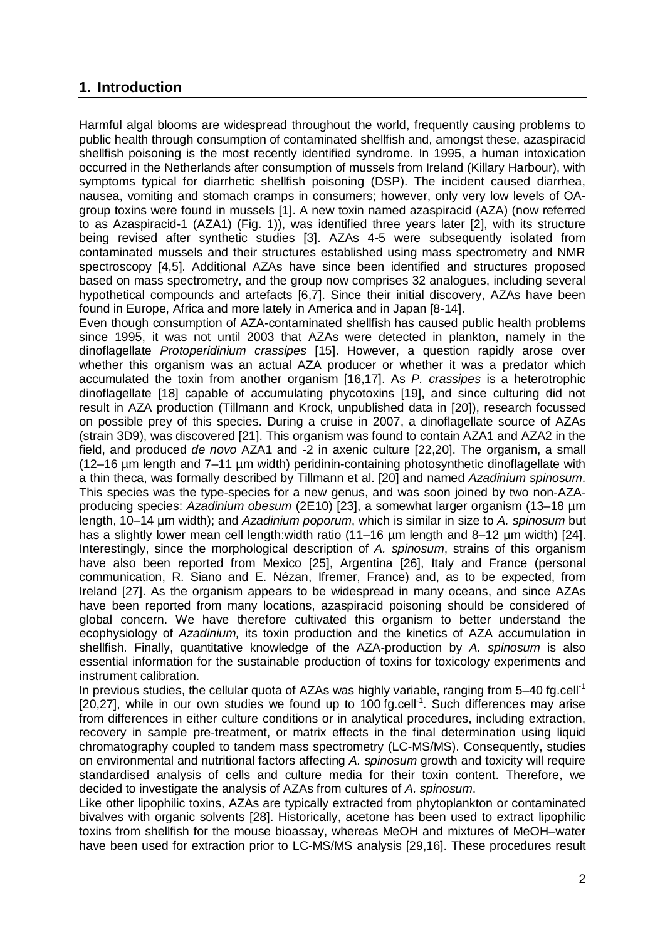## **1. Introduction**

Harmful algal blooms are widespread throughout the world, frequently causing problems to public health through consumption of contaminated shellfish and, amongst these, azaspiracid shellfish poisoning is the most recently identified syndrome. In 1995, a human intoxication occurred in the Netherlands after consumption of mussels from Ireland (Killary Harbour), with symptoms typical for diarrhetic shellfish poisoning (DSP). The incident caused diarrhea, nausea, vomiting and stomach cramps in consumers; however, only very low levels of OAgroup toxins were found in mussels [1]. A new toxin named azaspiracid (AZA) (now referred to as Azaspiracid-1 (AZA1) (Fig. 1)), was identified three years later [2], with its structure being revised after synthetic studies [3]. AZAs 4-5 were subsequently isolated from contaminated mussels and their structures established using mass spectrometry and NMR spectroscopy [4,5]. Additional AZAs have since been identified and structures proposed based on mass spectrometry, and the group now comprises 32 analogues, including several hypothetical compounds and artefacts [6,7]. Since their initial discovery, AZAs have been found in Europe, Africa and more lately in America and in Japan [8-14].

Even though consumption of AZA-contaminated shellfish has caused public health problems since 1995, it was not until 2003 that AZAs were detected in plankton, namely in the dinoflagellate *Protoperidinium crassipes* [15]. However, a question rapidly arose over whether this organism was an actual AZA producer or whether it was a predator which accumulated the toxin from another organism [16,17]. As *P. crassipes* is a heterotrophic dinoflagellate [18] capable of accumulating phycotoxins [19], and since culturing did not result in AZA production (Tillmann and Krock, unpublished data in [20]), research focussed on possible prey of this species. During a cruise in 2007, a dinoflagellate source of AZAs (strain 3D9), was discovered [21]. This organism was found to contain AZA1 and AZA2 in the field, and produced *de novo* AZA1 and -2 in axenic culture [22,20]. The organism, a small (12–16 µm length and 7–11 µm width) peridinin-containing photosynthetic dinoflagellate with a thin theca, was formally described by Tillmann et al. [20] and named *Azadinium spinosum*. This species was the type-species for a new genus, and was soon joined by two non-AZAproducing species: *Azadinium obesum* (2E10) [23], a somewhat larger organism (13–18 µm length, 10–14 µm width); and *Azadinium poporum*, which is similar in size to *A. spinosum* but has a slightly lower mean cell length:width ratio (11–16 µm length and 8–12 µm width) [24]. Interestingly, since the morphological description of *A. spinosum*, strains of this organism have also been reported from Mexico [25], Argentina [26], Italy and France (personal communication, R. Siano and E. Nézan, Ifremer, France) and, as to be expected, from Ireland [27]. As the organism appears to be widespread in many oceans, and since AZAs have been reported from many locations, azaspiracid poisoning should be considered of global concern. We have therefore cultivated this organism to better understand the ecophysiology of *Azadinium,* its toxin production and the kinetics of AZA accumulation in shellfish. Finally, quantitative knowledge of the AZA-production by *A. spinosum* is also essential information for the sustainable production of toxins for toxicology experiments and instrument calibration.

In previous studies, the cellular quota of AZAs was highly variable, ranging from  $5-40$  fg.cell<sup>-1</sup> [20,27], while in our own studies we found up to 100 fg.cell<sup>-1</sup>. Such differences may arise from differences in either culture conditions or in analytical procedures, including extraction, recovery in sample pre-treatment, or matrix effects in the final determination using liquid chromatography coupled to tandem mass spectrometry (LC-MS/MS). Consequently, studies on environmental and nutritional factors affecting *A. spinosum* growth and toxicity will require standardised analysis of cells and culture media for their toxin content. Therefore, we decided to investigate the analysis of AZAs from cultures of *A. spinosum*.

Like other lipophilic toxins, AZAs are typically extracted from phytoplankton or contaminated bivalves with organic solvents [28]. Historically, acetone has been used to extract lipophilic toxins from shellfish for the mouse bioassay, whereas MeOH and mixtures of MeOH–water have been used for extraction prior to LC-MS/MS analysis [29,16]. These procedures result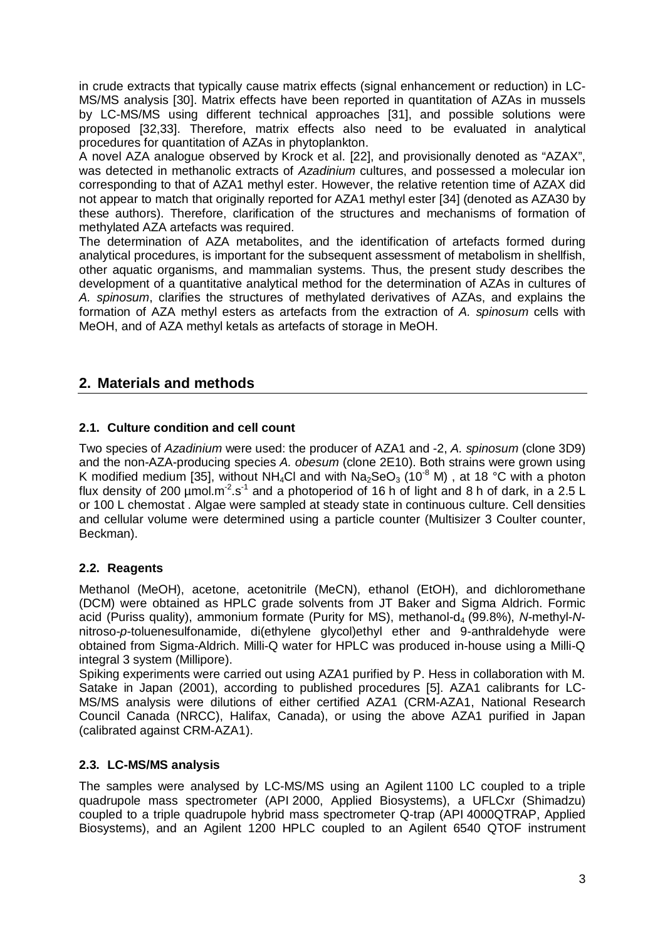in crude extracts that typically cause matrix effects (signal enhancement or reduction) in LC-MS/MS analysis [30]. Matrix effects have been reported in quantitation of AZAs in mussels by LC-MS/MS using different technical approaches [31], and possible solutions were proposed [32,33]. Therefore, matrix effects also need to be evaluated in analytical procedures for quantitation of AZAs in phytoplankton.

A novel AZA analogue observed by Krock et al. [22], and provisionally denoted as "AZAX", was detected in methanolic extracts of *Azadinium* cultures, and possessed a molecular ion corresponding to that of AZA1 methyl ester. However, the relative retention time of AZAX did not appear to match that originally reported for AZA1 methyl ester [34] (denoted as AZA30 by these authors). Therefore, clarification of the structures and mechanisms of formation of methylated AZA artefacts was required.

The determination of AZA metabolites, and the identification of artefacts formed during analytical procedures, is important for the subsequent assessment of metabolism in shellfish, other aquatic organisms, and mammalian systems. Thus, the present study describes the development of a quantitative analytical method for the determination of AZAs in cultures of *A. spinosum*, clarifies the structures of methylated derivatives of AZAs, and explains the formation of AZA methyl esters as artefacts from the extraction of *A. spinosum* cells with MeOH, and of AZA methyl ketals as artefacts of storage in MeOH.

# **2. Materials and methods**

## **2.1. Culture condition and cell count**

Two species of *Azadinium* were used: the producer of AZA1 and -2, *A. spinosum* (clone 3D9) and the non-AZA-producing species *A. obesum* (clone 2E10). Both strains were grown using K modified medium [35], without NH<sub>4</sub>Cl and with Na<sub>2</sub>SeO<sub>3</sub> (10<sup>-8</sup> M), at 18 °C with a photon flux density of 200  $\mu$ mol.m<sup>-2</sup>.s<sup>-1</sup> and a photoperiod of 16 h of light and 8 h of dark, in a 2.5 L or 100 L chemostat . Algae were sampled at steady state in continuous culture. Cell densities and cellular volume were determined using a particle counter (Multisizer 3 Coulter counter, Beckman).

### **2.2. Reagents**

Methanol (MeOH), acetone, acetonitrile (MeCN), ethanol (EtOH), and dichloromethane (DCM) were obtained as HPLC grade solvents from JT Baker and Sigma Aldrich. Formic acid (Puriss quality), ammonium formate (Purity for MS), methanol-d<sub>4</sub> (99.8%), *N*-methyl-Nnitroso-*p*-toluenesulfonamide, di(ethylene glycol)ethyl ether and 9-anthraldehyde were obtained from Sigma-Aldrich. Milli-Q water for HPLC was produced in-house using a Milli-Q integral 3 system (Millipore).

Spiking experiments were carried out using AZA1 purified by P. Hess in collaboration with M. Satake in Japan (2001), according to published procedures [5]. AZA1 calibrants for LC-MS/MS analysis were dilutions of either certified AZA1 (CRM-AZA1, National Research Council Canada (NRCC), Halifax, Canada), or using the above AZA1 purified in Japan (calibrated against CRM-AZA1).

### **2.3. LC-MS/MS analysis**

The samples were analysed by LC-MS/MS using an Agilent 1100 LC coupled to a triple quadrupole mass spectrometer (API 2000, Applied Biosystems), a UFLCxr (Shimadzu) coupled to a triple quadrupole hybrid mass spectrometer Q-trap (API 4000QTRAP, Applied Biosystems), and an Agilent 1200 HPLC coupled to an Agilent 6540 QTOF instrument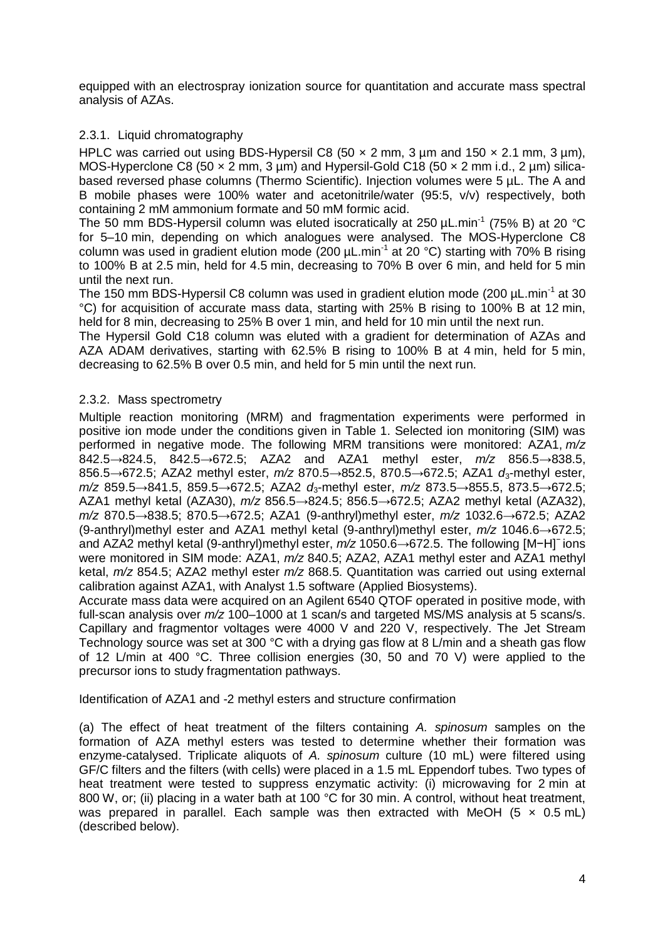equipped with an electrospray ionization source for quantitation and accurate mass spectral analysis of AZAs.

### 2.3.1. Liquid chromatography

HPLC was carried out using BDS-Hypersil C8 (50  $\times$  2 mm, 3 µm and 150  $\times$  2.1 mm, 3 µm), MOS-Hyperclone C8 (50  $\times$  2 mm, 3 µm) and Hypersil-Gold C18 (50  $\times$  2 mm i.d., 2 µm) silicabased reversed phase columns (Thermo Scientific). Injection volumes were 5 µL. The A and B mobile phases were 100% water and acetonitrile/water (95:5, v/v) respectively, both containing 2 mM ammonium formate and 50 mM formic acid.

The 50 mm BDS-Hypersil column was eluted isocratically at 250  $\mu$ L.min<sup>-1</sup> (75% B) at 20 °C for 5–10 min, depending on which analogues were analysed. The MOS-Hyperclone C8 column was used in gradient elution mode  $(200 \mu L.min<sup>-1</sup>$  at 20 °C) starting with 70% B rising to 100% B at 2.5 min, held for 4.5 min, decreasing to 70% B over 6 min, and held for 5 min until the next run.

The 150 mm BDS-Hypersil C8 column was used in gradient elution mode (200 µL.min<sup>-1</sup> at 30 °C) for acquisition of accurate mass data, starting with 25% B rising to 100% B at 12 min, held for 8 min, decreasing to 25% B over 1 min, and held for 10 min until the next run.

The Hypersil Gold C18 column was eluted with a gradient for determination of AZAs and AZA ADAM derivatives, starting with 62.5% B rising to 100% B at 4 min, held for 5 min, decreasing to 62.5% B over 0.5 min, and held for 5 min until the next run.

### 2.3.2. Mass spectrometry

Multiple reaction monitoring (MRM) and fragmentation experiments were performed in positive ion mode under the conditions given in Table 1. Selected ion monitoring (SIM) was performed in negative mode. The following MRM transitions were monitored: AZA1, *m/z* 842.5→824.5, 842.5→672.5; AZA2 and AZA1 methyl ester, *m/z* 856.5→838.5, 856.5→672.5; AZA2 methyl ester, *m/z* 870.5→852.5, 870.5→672.5; AZA1 *d*3-methyl ester, *m*/z 859.5→841.5, 859.5→672.5; AZA2 *d*<sub>3</sub>-methyl ester, *m*/z 873.5→855.5, 873.5→672.5; AZA1 methyl ketal (AZA30), *m/z* 856.5→824.5; 856.5→672.5; AZA2 methyl ketal (AZA32), *m/z* 870.5→838.5; 870.5→672.5; AZA1 (9-anthryl)methyl ester, *m/z* 1032.6→672.5; AZA2 (9-anthryl)methyl ester and AZA1 methyl ketal (9-anthryl)methyl ester, *m/z* 1046.6→672.5; and AZA2 methyl ketal (9-anthryl)methyl ester, *m/z* 1050.6→672.5. The following [M−H]<sup>−</sup> ions were monitored in SIM mode: AZA1, *m/z* 840.5; AZA2, AZA1 methyl ester and AZA1 methyl ketal, *m/z* 854.5; AZA2 methyl ester *m/z* 868.5. Quantitation was carried out using external calibration against AZA1, with Analyst 1.5 software (Applied Biosystems).

Accurate mass data were acquired on an Agilent 6540 QTOF operated in positive mode, with full-scan analysis over *m/z* 100–1000 at 1 scan/s and targeted MS/MS analysis at 5 scans/s. Capillary and fragmentor voltages were 4000 V and 220 V, respectively. The Jet Stream Technology source was set at 300 °C with a drying gas flow at 8 L/min and a sheath gas flow of 12 L/min at 400 °C. Three collision energies (30, 50 and 70 V) were applied to the precursor ions to study fragmentation pathways.

#### Identification of AZA1 and -2 methyl esters and structure confirmation

(a) The effect of heat treatment of the filters containing *A. spinosum* samples on the formation of AZA methyl esters was tested to determine whether their formation was enzyme-catalysed. Triplicate aliquots of *A. spinosum* culture (10 mL) were filtered using GF/C filters and the filters (with cells) were placed in a 1.5 mL Eppendorf tubes. Two types of heat treatment were tested to suppress enzymatic activity: (i) microwaving for 2 min at 800 W, or; (ii) placing in a water bath at 100 °C for 30 min. A control, without heat treatment, was prepared in parallel. Each sample was then extracted with MeOH (5  $\times$  0.5 mL) (described below).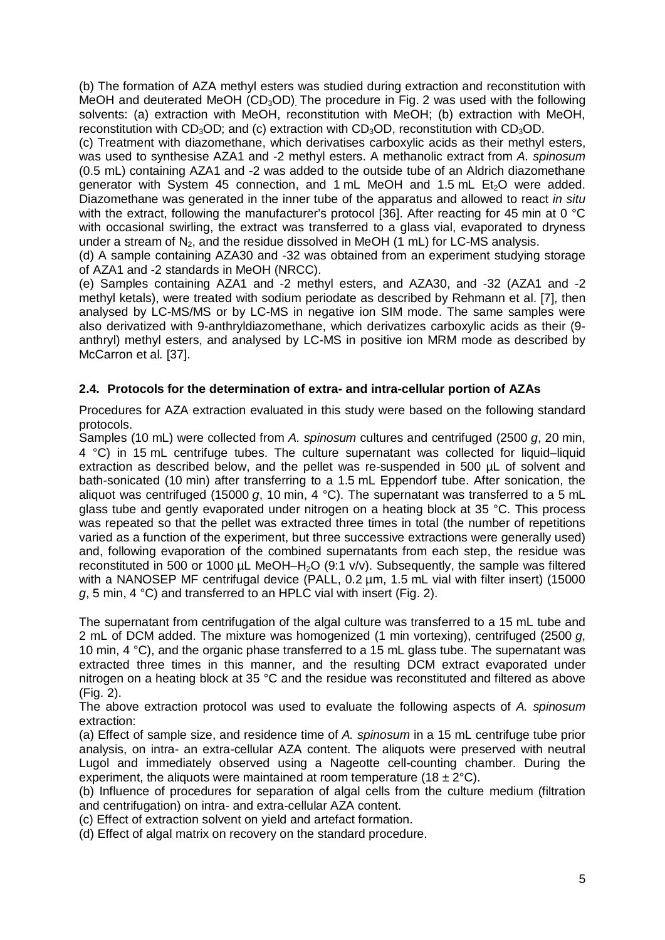(b) The formation of AZA methyl esters was studied during extraction and reconstitution with MeOH and deuterated MeOH (CD<sub>3</sub>OD). The procedure in Fig. 2 was used with the following solvents: (a) extraction with MeOH, reconstitution with MeOH; (b) extraction with MeOH, reconstitution with  $CD_3OD$ ; and (c) extraction with  $CD_3OD$ , reconstitution with  $CD_3OD$ .

(c) Treatment with diazomethane, which derivatises carboxylic acids as their methyl esters, was used to synthesise AZA1 and -2 methyl esters. A methanolic extract from *A. spinosum* (0.5 mL) containing AZA1 and -2 was added to the outside tube of an Aldrich diazomethane generator with System 45 connection, and 1 mL MeOH and 1.5 mL Et<sub>2</sub>O were added. Diazomethane was generated in the inner tube of the apparatus and allowed to react *in situ* with the extract, following the manufacturer's protocol [36]. After reacting for 45 min at 0 °C with occasional swirling, the extract was transferred to a glass vial, evaporated to dryness under a stream of  $N_2$ , and the residue dissolved in MeOH (1 mL) for LC-MS analysis.

(d) A sample containing AZA30 and -32 was obtained from an experiment studying storage of AZA1 and -2 standards in MeOH (NRCC).

(e) Samples containing AZA1 and -2 methyl esters, and AZA30, and -32 (AZA1 and -2 methyl ketals), were treated with sodium periodate as described by Rehmann et al. [7], then analysed by LC-MS/MS or by LC-MS in negative ion SIM mode. The same samples were also derivatized with 9-anthryldiazomethane, which derivatizes carboxylic acids as their (9 anthryl) methyl esters, and analysed by LC-MS in positive ion MRM mode as described by McCarron et al*.* [37].

### **2.4. Protocols for the determination of extra- and intra-cellular portion of AZAs**

Procedures for AZA extraction evaluated in this study were based on the following standard protocols.

Samples (10 mL) were collected from *A. spinosum* cultures and centrifuged (2500 *g*, 20 min, 4 °C) in 15 mL centrifuge tubes. The culture supernatant was collected for liquid–liquid extraction as described below, and the pellet was re-suspended in 500 µL of solvent and bath-sonicated (10 min) after transferring to a 1.5 mL Eppendorf tube. After sonication, the aliquot was centrifuged (15000 *g*, 10 min, 4 °C). The supernatant was transferred to a 5 mL glass tube and gently evaporated under nitrogen on a heating block at 35 °C. This process was repeated so that the pellet was extracted three times in total (the number of repetitions varied as a function of the experiment, but three successive extractions were generally used) and, following evaporation of the combined supernatants from each step, the residue was reconstituted in 500 or 1000  $\mu$ L MeOH–H<sub>2</sub>O (9:1 v/v). Subsequently, the sample was filtered with a NANOSEP MF centrifugal device (PALL, 0.2 um, 1.5 mL vial with filter insert) (15000 *g*, 5 min, 4 °C) and transferred to an HPLC vial with insert (Fig. 2).

The supernatant from centrifugation of the algal culture was transferred to a 15 mL tube and 2 mL of DCM added. The mixture was homogenized (1 min vortexing), centrifuged (2500 *g*, 10 min, 4 °C), and the organic phase transferred to a 15 mL glass tube. The supernatant was extracted three times in this manner, and the resulting DCM extract evaporated under nitrogen on a heating block at 35 °C and the residue was reconstituted and filtered as above (Fig. 2).

The above extraction protocol was used to evaluate the following aspects of *A. spinosum*  extraction:

(a) Effect of sample size, and residence time of *A. spinosum* in a 15 mL centrifuge tube prior analysis, on intra- an extra-cellular AZA content. The aliquots were preserved with neutral Lugol and immediately observed using a Nageotte cell-counting chamber. During the experiment, the aliquots were maintained at room temperature (18  $\pm$  2 $\degree$ C).

(b) Influence of procedures for separation of algal cells from the culture medium (filtration and centrifugation) on intra- and extra-cellular AZA content.

(c) Effect of extraction solvent on yield and artefact formation.

(d) Effect of algal matrix on recovery on the standard procedure.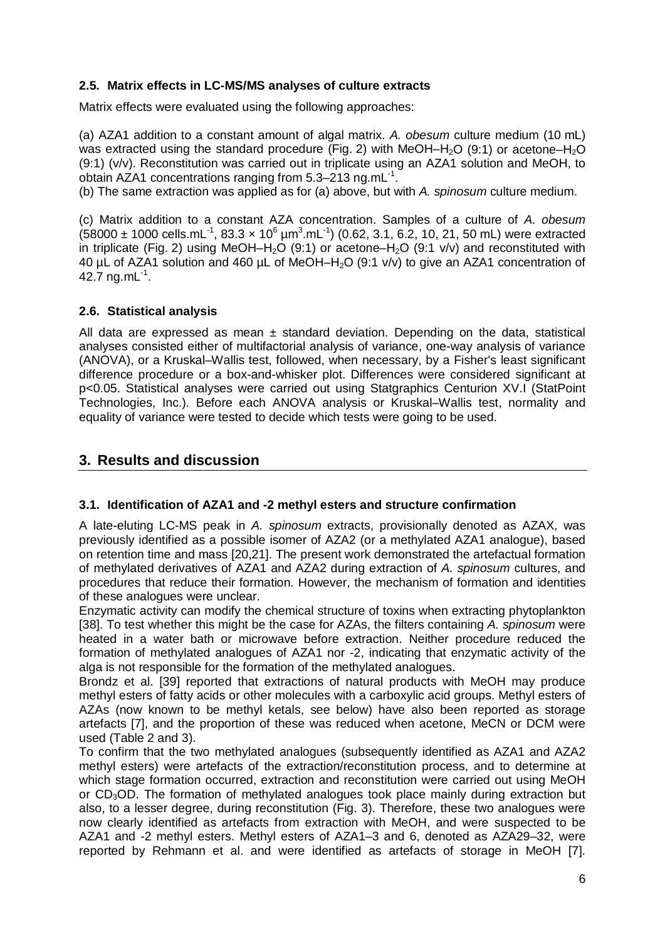### **2.5. Matrix effects in LC-MS/MS analyses of culture extracts**

Matrix effects were evaluated using the following approaches:

(a) AZA1 addition to a constant amount of algal matrix. *A. obesum* culture medium (10 mL) was extracted using the standard procedure (Fig. 2) with MeOH–H<sub>2</sub>O (9:1) or acetone–H<sub>2</sub>O (9:1) (v/v). Reconstitution was carried out in triplicate using an AZA1 solution and MeOH, to obtain AZA1 concentrations ranging from  $5.3-213$  ng.mL $^{-1}$ .

(b) The same extraction was applied as for (a) above, but with *A. spinosum* culture medium.

(c) Matrix addition to a constant AZA concentration. Samples of a culture of *A. obesum*  $(58000 \pm 1000 \text{ cells.mL}^{-1}, 83.3 \times 10^6 \text{ µm}^3 \text{.mL}^{-1}) (0.62, 3.1, 6.2, 10, 21, 50 \text{ mL})$  were extracted in triplicate (Fig. 2) using MeOH–H<sub>2</sub>O (9:1) or acetone–H<sub>2</sub>O (9:1 v/v) and reconstituted with 40 µL of AZA1 solution and 460 µL of MeOH–H2O (9:1 v/v) to give an AZA1 concentration of 42.7 ng.m $L^{-1}$ .

#### **2.6. Statistical analysis**

All data are expressed as mean  $\pm$  standard deviation. Depending on the data, statistical analyses consisted either of multifactorial analysis of variance, one-way analysis of variance (ANOVA), or a Kruskal–Wallis test, followed, when necessary, by a Fisher's least significant difference procedure or a box-and-whisker plot. Differences were considered significant at p<0.05. Statistical analyses were carried out using Statgraphics Centurion XV.I (StatPoint Technologies, Inc.). Before each ANOVA analysis or Kruskal–Wallis test, normality and equality of variance were tested to decide which tests were going to be used.

## **3. Results and discussion**

#### **3.1. Identification of AZA1 and -2 methyl esters and structure confirmation**

A late-eluting LC-MS peak in *A. spinosum* extracts, provisionally denoted as AZAX, was previously identified as a possible isomer of AZA2 (or a methylated AZA1 analogue), based on retention time and mass [20,21]. The present work demonstrated the artefactual formation of methylated derivatives of AZA1 and AZA2 during extraction of *A. spinosum* cultures, and procedures that reduce their formation. However, the mechanism of formation and identities of these analogues were unclear.

Enzymatic activity can modify the chemical structure of toxins when extracting phytoplankton [38]. To test whether this might be the case for AZAs, the filters containing *A. spinosum* were heated in a water bath or microwave before extraction. Neither procedure reduced the formation of methylated analogues of AZA1 nor -2, indicating that enzymatic activity of the alga is not responsible for the formation of the methylated analogues.

Brondz et al. [39] reported that extractions of natural products with MeOH may produce methyl esters of fatty acids or other molecules with a carboxylic acid groups. Methyl esters of AZAs (now known to be methyl ketals, see below) have also been reported as storage artefacts [7], and the proportion of these was reduced when acetone, MeCN or DCM were used (Table 2 and 3).

To confirm that the two methylated analogues (subsequently identified as AZA1 and AZA2 methyl esters) were artefacts of the extraction/reconstitution process, and to determine at which stage formation occurred, extraction and reconstitution were carried out using MeOH or CD<sub>3</sub>OD. The formation of methylated analogues took place mainly during extraction but also, to a lesser degree, during reconstitution (Fig. 3). Therefore, these two analogues were now clearly identified as artefacts from extraction with MeOH, and were suspected to be AZA1 and -2 methyl esters. Methyl esters of AZA1–3 and 6, denoted as AZA29–32, were reported by Rehmann et al. and were identified as artefacts of storage in MeOH [7].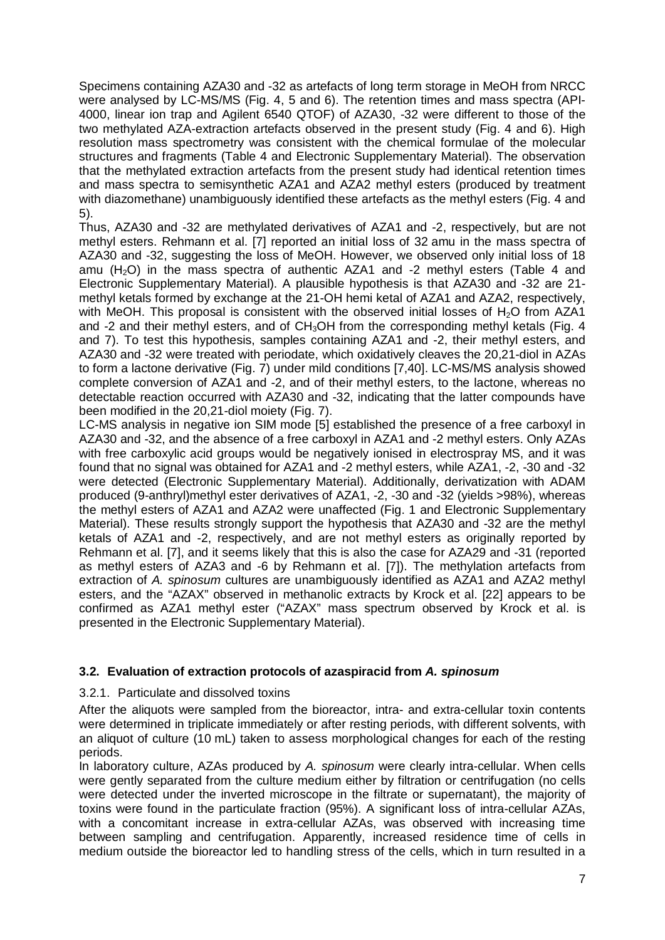Specimens containing AZA30 and -32 as artefacts of long term storage in MeOH from NRCC were analysed by LC-MS/MS (Fig. 4, 5 and 6). The retention times and mass spectra (API-4000, linear ion trap and Agilent 6540 QTOF) of AZA30, -32 were different to those of the two methylated AZA-extraction artefacts observed in the present study (Fig. 4 and 6). High resolution mass spectrometry was consistent with the chemical formulae of the molecular structures and fragments (Table 4 and Electronic Supplementary Material). The observation that the methylated extraction artefacts from the present study had identical retention times and mass spectra to semisynthetic AZA1 and AZA2 methyl esters (produced by treatment with diazomethane) unambiguously identified these artefacts as the methyl esters (Fig. 4 and 5).

Thus, AZA30 and -32 are methylated derivatives of AZA1 and -2, respectively, but are not methyl esters. Rehmann et al. [7] reported an initial loss of 32 amu in the mass spectra of AZA30 and -32, suggesting the loss of MeOH. However, we observed only initial loss of 18 amu (H<sub>2</sub>O) in the mass spectra of authentic AZA1 and -2 methyl esters (Table 4 and Electronic Supplementary Material). A plausible hypothesis is that AZA30 and -32 are 21 methyl ketals formed by exchange at the 21-OH hemi ketal of AZA1 and AZA2, respectively, with MeOH. This proposal is consistent with the observed initial losses of H<sub>2</sub>O from AZA1 and -2 and their methyl esters, and of CH<sub>3</sub>OH from the corresponding methyl ketals (Fig. 4) and 7). To test this hypothesis, samples containing AZA1 and -2, their methyl esters, and AZA30 and -32 were treated with periodate, which oxidatively cleaves the 20,21-diol in AZAs to form a lactone derivative (Fig. 7) under mild conditions [7,40]. LC-MS/MS analysis showed complete conversion of AZA1 and -2, and of their methyl esters, to the lactone, whereas no detectable reaction occurred with AZA30 and -32, indicating that the latter compounds have been modified in the 20,21-diol moiety (Fig. 7).

LC-MS analysis in negative ion SIM mode [5] established the presence of a free carboxyl in AZA30 and -32, and the absence of a free carboxyl in AZA1 and -2 methyl esters. Only AZAs with free carboxylic acid groups would be negatively ionised in electrospray MS, and it was found that no signal was obtained for AZA1 and -2 methyl esters, while AZA1, -2, -30 and -32 were detected (Electronic Supplementary Material). Additionally, derivatization with ADAM produced (9-anthryl)methyl ester derivatives of AZA1, -2, -30 and -32 (yields >98%), whereas the methyl esters of AZA1 and AZA2 were unaffected (Fig. 1 and Electronic Supplementary Material). These results strongly support the hypothesis that AZA30 and -32 are the methyl ketals of AZA1 and -2, respectively, and are not methyl esters as originally reported by Rehmann et al. [7], and it seems likely that this is also the case for AZA29 and -31 (reported as methyl esters of AZA3 and -6 by Rehmann et al. [7]). The methylation artefacts from extraction of *A. spinosum* cultures are unambiguously identified as AZA1 and AZA2 methyl esters, and the "AZAX" observed in methanolic extracts by Krock et al. [22] appears to be confirmed as AZA1 methyl ester ("AZAX" mass spectrum observed by Krock et al. is presented in the Electronic Supplementary Material).

#### **3.2. Evaluation of extraction protocols of azaspiracid from** *A. spinosum*

#### 3.2.1. Particulate and dissolved toxins

After the aliquots were sampled from the bioreactor, intra- and extra-cellular toxin contents were determined in triplicate immediately or after resting periods, with different solvents, with an aliquot of culture (10 mL) taken to assess morphological changes for each of the resting periods.

In laboratory culture, AZAs produced by *A. spinosum* were clearly intra-cellular. When cells were gently separated from the culture medium either by filtration or centrifugation (no cells were detected under the inverted microscope in the filtrate or supernatant), the majority of toxins were found in the particulate fraction (95%). A significant loss of intra-cellular AZAs, with a concomitant increase in extra-cellular AZAs, was observed with increasing time between sampling and centrifugation. Apparently, increased residence time of cells in medium outside the bioreactor led to handling stress of the cells, which in turn resulted in a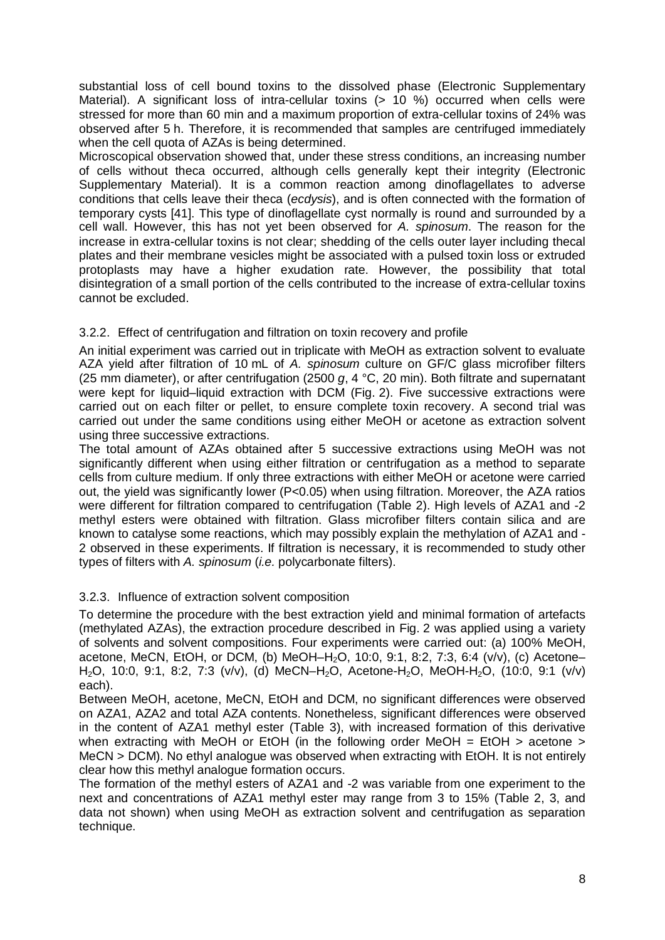substantial loss of cell bound toxins to the dissolved phase (Electronic Supplementary Material). A significant loss of intra-cellular toxins (> 10 %) occurred when cells were stressed for more than 60 min and a maximum proportion of extra-cellular toxins of 24% was observed after 5 h. Therefore, it is recommended that samples are centrifuged immediately when the cell quota of AZAs is being determined.

Microscopical observation showed that, under these stress conditions, an increasing number of cells without theca occurred, although cells generally kept their integrity (Electronic Supplementary Material). It is a common reaction among dinoflagellates to adverse conditions that cells leave their theca (*ecdysis*), and is often connected with the formation of temporary cysts [41]. This type of dinoflagellate cyst normally is round and surrounded by a cell wall. However, this has not yet been observed for *A. spinosum*. The reason for the increase in extra-cellular toxins is not clear; shedding of the cells outer layer including thecal plates and their membrane vesicles might be associated with a pulsed toxin loss or extruded protoplasts may have a higher exudation rate. However, the possibility that total disintegration of a small portion of the cells contributed to the increase of extra-cellular toxins cannot be excluded.

### 3.2.2. Effect of centrifugation and filtration on toxin recovery and profile

An initial experiment was carried out in triplicate with MeOH as extraction solvent to evaluate AZA yield after filtration of 10 mL of *A. spinosum* culture on GF/C glass microfiber filters (25 mm diameter), or after centrifugation (2500 *g*, 4 °C, 20 min). Both filtrate and supernatant were kept for liquid–liquid extraction with DCM (Fig. 2). Five successive extractions were carried out on each filter or pellet, to ensure complete toxin recovery. A second trial was carried out under the same conditions using either MeOH or acetone as extraction solvent using three successive extractions.

The total amount of AZAs obtained after 5 successive extractions using MeOH was not significantly different when using either filtration or centrifugation as a method to separate cells from culture medium. If only three extractions with either MeOH or acetone were carried out, the yield was significantly lower (P<0.05) when using filtration. Moreover, the AZA ratios were different for filtration compared to centrifugation (Table 2). High levels of AZA1 and -2 methyl esters were obtained with filtration. Glass microfiber filters contain silica and are known to catalyse some reactions, which may possibly explain the methylation of AZA1 and - 2 observed in these experiments. If filtration is necessary, it is recommended to study other types of filters with *A. spinosum* (*i.e.* polycarbonate filters).

#### 3.2.3. Influence of extraction solvent composition

To determine the procedure with the best extraction yield and minimal formation of artefacts (methylated AZAs), the extraction procedure described in Fig. 2 was applied using a variety of solvents and solvent compositions. Four experiments were carried out: (a) 100% MeOH, acetone, MeCN, EtOH, or DCM, (b) MeOH-H<sub>2</sub>O, 10:0, 9:1, 8:2, 7:3, 6:4 (v/v), (c) Acetone-H2O, 10:0, 9:1, 8:2, 7:3 (v/v), (d) MeCN–H2O, Acetone-H2O, MeOH-H2O, (10:0, 9:1 (v/v) each).

Between MeOH, acetone, MeCN, EtOH and DCM, no significant differences were observed on AZA1, AZA2 and total AZA contents. Nonetheless, significant differences were observed in the content of AZA1 methyl ester (Table 3), with increased formation of this derivative when extracting with MeOH or EtOH (in the following order MeOH = EtOH > acetone > MeCN > DCM). No ethyl analogue was observed when extracting with EtOH. It is not entirely clear how this methyl analogue formation occurs.

The formation of the methyl esters of AZA1 and -2 was variable from one experiment to the next and concentrations of AZA1 methyl ester may range from 3 to 15% (Table 2, 3, and data not shown) when using MeOH as extraction solvent and centrifugation as separation technique.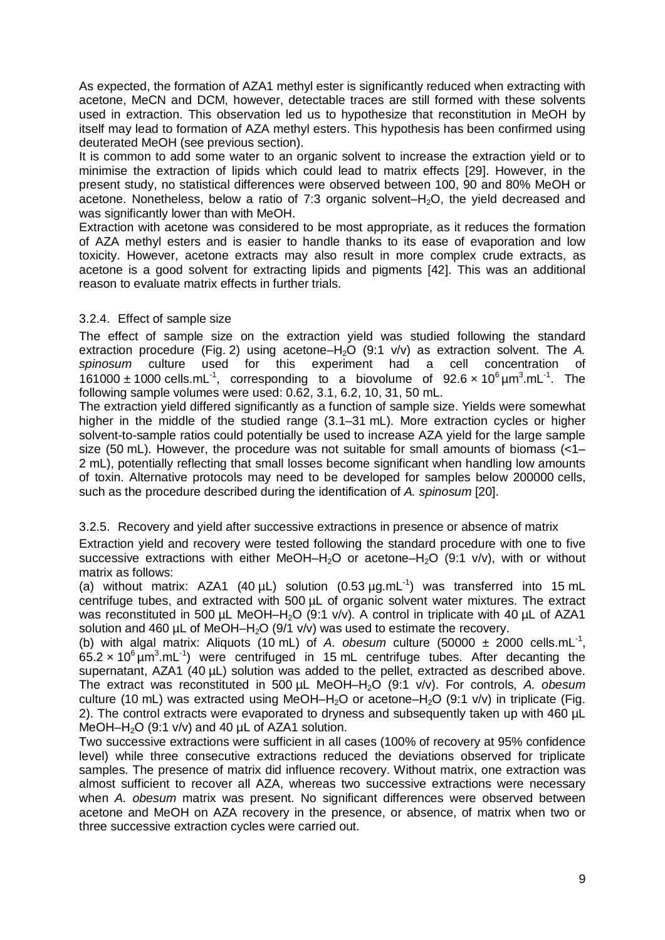As expected, the formation of AZA1 methyl ester is significantly reduced when extracting with acetone, MeCN and DCM, however, detectable traces are still formed with these solvents used in extraction. This observation led us to hypothesize that reconstitution in MeOH by itself may lead to formation of AZA methyl esters. This hypothesis has been confirmed using deuterated MeOH (see previous section).

It is common to add some water to an organic solvent to increase the extraction yield or to minimise the extraction of lipids which could lead to matrix effects [29]. However, in the present study, no statistical differences were observed between 100, 90 and 80% MeOH or acetone. Nonetheless, below a ratio of 7:3 organic solvent– $H_2O$ , the yield decreased and was significantly lower than with MeOH.

Extraction with acetone was considered to be most appropriate, as it reduces the formation of AZA methyl esters and is easier to handle thanks to its ease of evaporation and low toxicity. However, acetone extracts may also result in more complex crude extracts, as acetone is a good solvent for extracting lipids and pigments [42]. This was an additional reason to evaluate matrix effects in further trials.

### 3.2.4. Effect of sample size

The effect of sample size on the extraction yield was studied following the standard extraction procedure (Fig. 2) using acetone–H<sub>2</sub>O (9:1 v/v) as extraction solvent. The *A. spinosum* culture used for this experiment had a cell concentration of 161000  $\pm$  1000 cells.mL<sup>-1</sup>, corresponding to a biovolume of 92.6  $\times$  10<sup>6</sup>  $\mu$ m<sup>3</sup>.mL<sup>-1</sup>. The following sample volumes were used: 0.62, 3.1, 6.2, 10, 31, 50 mL.

The extraction yield differed significantly as a function of sample size. Yields were somewhat higher in the middle of the studied range (3.1–31 mL). More extraction cycles or higher solvent-to-sample ratios could potentially be used to increase AZA yield for the large sample size (50 mL). However, the procedure was not suitable for small amounts of biomass (<1– 2 mL), potentially reflecting that small losses become significant when handling low amounts of toxin. Alternative protocols may need to be developed for samples below 200000 cells, such as the procedure described during the identification of *A. spinosum* [20].

### 3.2.5. Recovery and yield after successive extractions in presence or absence of matrix

Extraction yield and recovery were tested following the standard procedure with one to five successive extractions with either MeOH–H<sub>2</sub>O or acetone–H<sub>2</sub>O (9:1 v/v), with or without matrix as follows:

(a) without matrix: AZA1 (40  $\mu$ L) solution (0.53  $\mu$ g.mL<sup>-1</sup>) was transferred into 15 mL centrifuge tubes, and extracted with 500 µL of organic solvent water mixtures. The extract was reconstituted in 500 µL MeOH–H<sub>2</sub>O (9:1 v/v). A control in triplicate with 40 µL of AZA1 solution and 460  $\mu$ L of MeOH–H<sub>2</sub>O (9/1 v/v) was used to estimate the recovery.

(b) with algal matrix: Aliquots (10 mL) of A. obesum culture  $(50000 \pm 2000 \text{ cells.mL}^{-1})$ ,  $65.2 \times 10^6 \mu m^3.mL^{-1}$ ) were centrifuged in 15 mL centrifuge tubes. After decanting the supernatant, AZA1 (40 µL) solution was added to the pellet, extracted as described above. The extract was reconstituted in 500 µL MeOH–H2O (9:1 v/v). For controls, *A. obesum* culture (10 mL) was extracted using MeOH–H<sub>2</sub>O or acetone–H<sub>2</sub>O (9:1 v/v) in triplicate (Fig. 2). The control extracts were evaporated to dryness and subsequently taken up with 460 µL MeOH–H<sub>2</sub>O (9:1 v/v) and 40 uL of AZA1 solution.

Two successive extractions were sufficient in all cases (100% of recovery at 95% confidence level) while three consecutive extractions reduced the deviations observed for triplicate samples. The presence of matrix did influence recovery. Without matrix, one extraction was almost sufficient to recover all AZA, whereas two successive extractions were necessary when *A. obesum* matrix was present. No significant differences were observed between acetone and MeOH on AZA recovery in the presence, or absence, of matrix when two or three successive extraction cycles were carried out.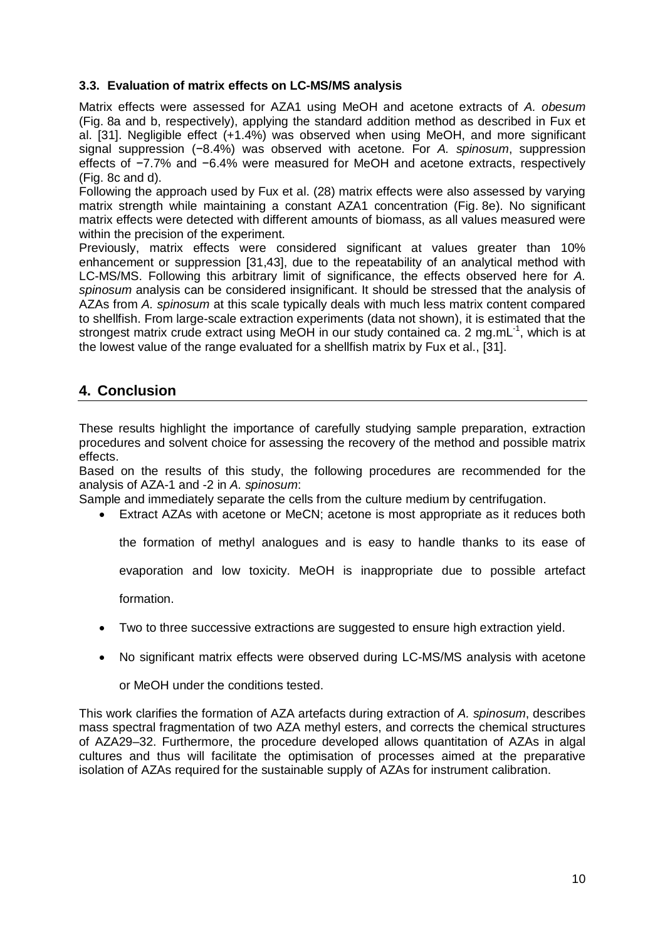### **3.3. Evaluation of matrix effects on LC-MS/MS analysis**

Matrix effects were assessed for AZA1 using MeOH and acetone extracts of *A. obesum* (Fig. 8a and b, respectively), applying the standard addition method as described in Fux et al. [31]. Negligible effect (+1.4%) was observed when using MeOH, and more significant signal suppression (−8.4%) was observed with acetone. For *A. spinosum*, suppression effects of −7.7% and −6.4% were measured for MeOH and acetone extracts, respectively (Fig. 8c and d).

Following the approach used by Fux et al. (28) matrix effects were also assessed by varying matrix strength while maintaining a constant AZA1 concentration (Fig. 8e). No significant matrix effects were detected with different amounts of biomass, as all values measured were within the precision of the experiment.

Previously, matrix effects were considered significant at values greater than 10% enhancement or suppression [31,43], due to the repeatability of an analytical method with LC-MS/MS. Following this arbitrary limit of significance, the effects observed here for *A. spinosum* analysis can be considered insignificant. It should be stressed that the analysis of AZAs from *A. spinosum* at this scale typically deals with much less matrix content compared to shellfish. From large-scale extraction experiments (data not shown), it is estimated that the strongest matrix crude extract using MeOH in our study contained ca. 2 mg.mL<sup>-1</sup>, which is at the lowest value of the range evaluated for a shellfish matrix by Fux et al., [31].

# **4. Conclusion**

These results highlight the importance of carefully studying sample preparation, extraction procedures and solvent choice for assessing the recovery of the method and possible matrix effects.

Based on the results of this study, the following procedures are recommended for the analysis of AZA-1 and -2 in *A. spinosum*:

Sample and immediately separate the cells from the culture medium by centrifugation.

• Extract AZAs with acetone or MeCN; acetone is most appropriate as it reduces both

the formation of methyl analogues and is easy to handle thanks to its ease of

evaporation and low toxicity. MeOH is inappropriate due to possible artefact

formation.

- Two to three successive extractions are suggested to ensure high extraction yield.
- No significant matrix effects were observed during LC-MS/MS analysis with acetone

or MeOH under the conditions tested.

This work clarifies the formation of AZA artefacts during extraction of *A. spinosum*, describes mass spectral fragmentation of two AZA methyl esters, and corrects the chemical structures of AZA29–32. Furthermore, the procedure developed allows quantitation of AZAs in algal cultures and thus will facilitate the optimisation of processes aimed at the preparative isolation of AZAs required for the sustainable supply of AZAs for instrument calibration.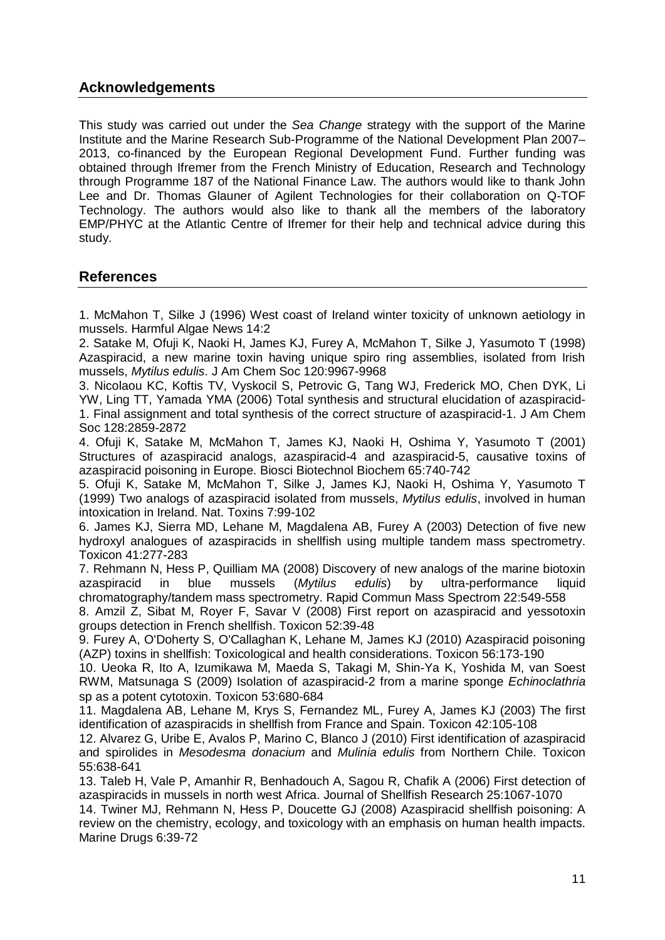# **Acknowledgements**

This study was carried out under the *Sea Change* strategy with the support of the Marine Institute and the Marine Research Sub-Programme of the National Development Plan 2007– 2013, co-financed by the European Regional Development Fund. Further funding was obtained through Ifremer from the French Ministry of Education, Research and Technology through Programme 187 of the National Finance Law. The authors would like to thank John Lee and Dr. Thomas Glauner of Agilent Technologies for their collaboration on Q-TOF Technology. The authors would also like to thank all the members of the laboratory EMP/PHYC at the Atlantic Centre of Ifremer for their help and technical advice during this study.

## **References**

1. McMahon T, Silke J (1996) West coast of Ireland winter toxicity of unknown aetiology in mussels. Harmful Algae News 14:2

2. Satake M, Ofuji K, Naoki H, James KJ, Furey A, McMahon T, Silke J, Yasumoto T (1998) Azaspiracid, a new marine toxin having unique spiro ring assemblies, isolated from Irish mussels, *Mytilus edulis*. J Am Chem Soc 120:9967-9968

3. Nicolaou KC, Koftis TV, Vyskocil S, Petrovic G, Tang WJ, Frederick MO, Chen DYK, Li YW, Ling TT, Yamada YMA (2006) Total synthesis and structural elucidation of azaspiracid-1. Final assignment and total synthesis of the correct structure of azaspiracid-1. J Am Chem Soc 128:2859-2872

4. Ofuji K, Satake M, McMahon T, James KJ, Naoki H, Oshima Y, Yasumoto T (2001) Structures of azaspiracid analogs, azaspiracid-4 and azaspiracid-5, causative toxins of azaspiracid poisoning in Europe. Biosci Biotechnol Biochem 65:740-742

5. Ofuji K, Satake M, McMahon T, Silke J, James KJ, Naoki H, Oshima Y, Yasumoto T (1999) Two analogs of azaspiracid isolated from mussels, *Mytilus edulis*, involved in human intoxication in Ireland. Nat. Toxins 7:99-102

6. James KJ, Sierra MD, Lehane M, Magdalena AB, Furey A (2003) Detection of five new hydroxyl analogues of azaspiracids in shellfish using multiple tandem mass spectrometry. Toxicon 41:277-283

7. Rehmann N, Hess P, Quilliam MA (2008) Discovery of new analogs of the marine biotoxin azaspiracid in blue mussels (*Mytilus edulis*) by ultra-performance liquid chromatography/tandem mass spectrometry. Rapid Commun Mass Spectrom 22:549-558

8. Amzil Z, Sibat M, Royer F, Savar V (2008) First report on azaspiracid and yessotoxin groups detection in French shellfish. Toxicon 52:39-48

9. Furey A, O'Doherty S, O'Callaghan K, Lehane M, James KJ (2010) Azaspiracid poisoning (AZP) toxins in shellfish: Toxicological and health considerations. Toxicon 56:173-190

10. Ueoka R, Ito A, Izumikawa M, Maeda S, Takagi M, Shin-Ya K, Yoshida M, van Soest RWM, Matsunaga S (2009) Isolation of azaspiracid-2 from a marine sponge *Echinoclathria* sp as a potent cytotoxin. Toxicon 53:680-684

11. Magdalena AB, Lehane M, Krys S, Fernandez ML, Furey A, James KJ (2003) The first identification of azaspiracids in shellfish from France and Spain. Toxicon 42:105-108

12. Alvarez G, Uribe E, Avalos P, Marino C, Blanco J (2010) First identification of azaspiracid and spirolides in *Mesodesma donacium* and *Mulinia edulis* from Northern Chile. Toxicon 55:638-641

13. Taleb H, Vale P, Amanhir R, Benhadouch A, Sagou R, Chafik A (2006) First detection of azaspiracids in mussels in north west Africa. Journal of Shellfish Research 25:1067-1070

14. Twiner MJ, Rehmann N, Hess P, Doucette GJ (2008) Azaspiracid shellfish poisoning: A review on the chemistry, ecology, and toxicology with an emphasis on human health impacts. Marine Drugs 6:39-72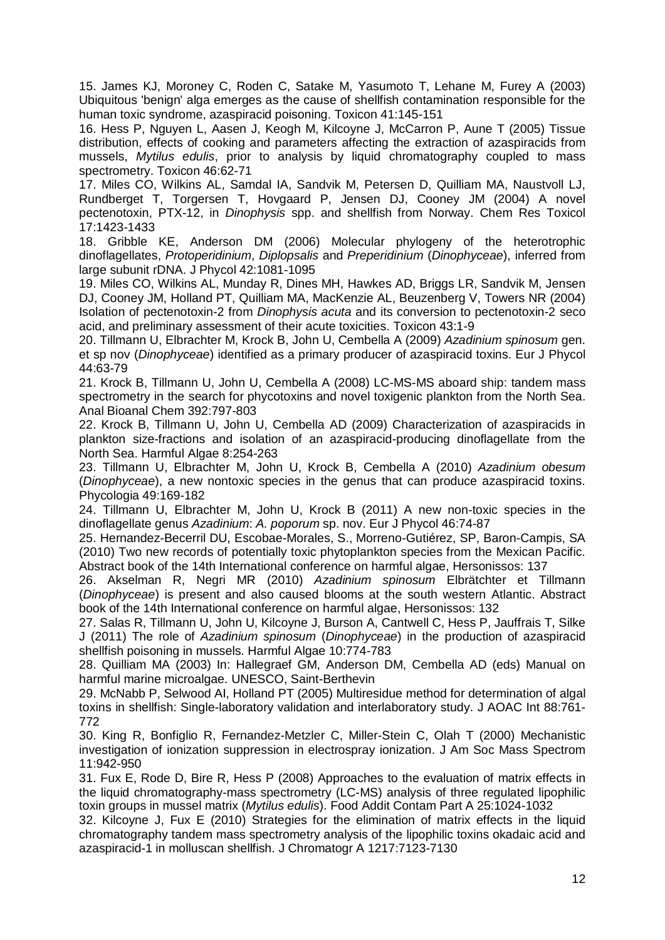15. James KJ, Moroney C, Roden C, Satake M, Yasumoto T, Lehane M, Furey A (2003) Ubiquitous 'benign' alga emerges as the cause of shellfish contamination responsible for the human toxic syndrome, azaspiracid poisoning. Toxicon 41:145-151

16. Hess P, Nguyen L, Aasen J, Keogh M, Kilcoyne J, McCarron P, Aune T (2005) Tissue distribution, effects of cooking and parameters affecting the extraction of azaspiracids from mussels, *Mytilus edulis*, prior to analysis by liquid chromatography coupled to mass spectrometry. Toxicon 46:62-71

17. Miles CO, Wilkins AL, Samdal IA, Sandvik M, Petersen D, Quilliam MA, Naustvoll LJ, Rundberget T, Torgersen T, Hovgaard P, Jensen DJ, Cooney JM (2004) A novel pectenotoxin, PTX-12, in *Dinophysis* spp. and shellfish from Norway. Chem Res Toxicol 17:1423-1433

18. Gribble KE, Anderson DM (2006) Molecular phylogeny of the heterotrophic dinoflagellates, *Protoperidinium*, *Diplopsalis* and *Preperidinium* (*Dinophyceae*), inferred from large subunit rDNA. J Phycol 42:1081-1095

19. Miles CO, Wilkins AL, Munday R, Dines MH, Hawkes AD, Briggs LR, Sandvik M, Jensen DJ, Cooney JM, Holland PT, Quilliam MA, MacKenzie AL, Beuzenberg V, Towers NR (2004) Isolation of pectenotoxin-2 from *Dinophysis acuta* and its conversion to pectenotoxin-2 seco acid, and preliminary assessment of their acute toxicities. Toxicon 43:1-9

20. Tillmann U, Elbrachter M, Krock B, John U, Cembella A (2009) *Azadinium spinosum* gen. et sp nov (*Dinophyceae*) identified as a primary producer of azaspiracid toxins. Eur J Phycol 44:63-79

21. Krock B, Tillmann U, John U, Cembella A (2008) LC-MS-MS aboard ship: tandem mass spectrometry in the search for phycotoxins and novel toxigenic plankton from the North Sea. Anal Bioanal Chem 392:797-803

22. Krock B, Tillmann U, John U, Cembella AD (2009) Characterization of azaspiracids in plankton size-fractions and isolation of an azaspiracid-producing dinoflagellate from the North Sea. Harmful Algae 8:254-263

23. Tillmann U, Elbrachter M, John U, Krock B, Cembella A (2010) *Azadinium obesum* (*Dinophyceae*), a new nontoxic species in the genus that can produce azaspiracid toxins. Phycologia 49:169-182

24. Tillmann U, Elbrachter M, John U, Krock B (2011) A new non-toxic species in the dinoflagellate genus *Azadinium*: *A. poporum* sp. nov. Eur J Phycol 46:74-87

25. Hernandez-Becerril DU, Escobae-Morales, S., Morreno-Gutiérez, SP, Baron-Campis, SA (2010) Two new records of potentially toxic phytoplankton species from the Mexican Pacific. Abstract book of the 14th International conference on harmful algae, Hersonissos: 137

26. Akselman R, Negri MR (2010) *Azadinium spinosum* Elbrätchter et Tillmann (*Dinophyceae*) is present and also caused blooms at the south western Atlantic. Abstract book of the 14th International conference on harmful algae, Hersonissos: 132

27. Salas R, Tillmann U, John U, Kilcoyne J, Burson A, Cantwell C, Hess P, Jauffrais T, Silke J (2011) The role of *Azadinium spinosum* (*Dinophyceae*) in the production of azaspiracid shellfish poisoning in mussels. Harmful Algae 10:774-783

28. Quilliam MA (2003) In: Hallegraef GM, Anderson DM, Cembella AD (eds) Manual on harmful marine microalgae. UNESCO, Saint-Berthevin

29. McNabb P, Selwood AI, Holland PT (2005) Multiresidue method for determination of algal toxins in shellfish: Single-laboratory validation and interlaboratory study. J AOAC Int 88:761- 772

30. King R, Bonfiglio R, Fernandez-Metzler C, Miller-Stein C, Olah T (2000) Mechanistic investigation of ionization suppression in electrospray ionization. J Am Soc Mass Spectrom 11:942-950

31. Fux E, Rode D, Bire R, Hess P (2008) Approaches to the evaluation of matrix effects in the liquid chromatography-mass spectrometry (LC-MS) analysis of three regulated lipophilic toxin groups in mussel matrix (*Mytilus edulis*). Food Addit Contam Part A 25:1024-1032

32. Kilcoyne J, Fux E (2010) Strategies for the elimination of matrix effects in the liquid chromatography tandem mass spectrometry analysis of the lipophilic toxins okadaic acid and azaspiracid-1 in molluscan shellfish. J Chromatogr A 1217:7123-7130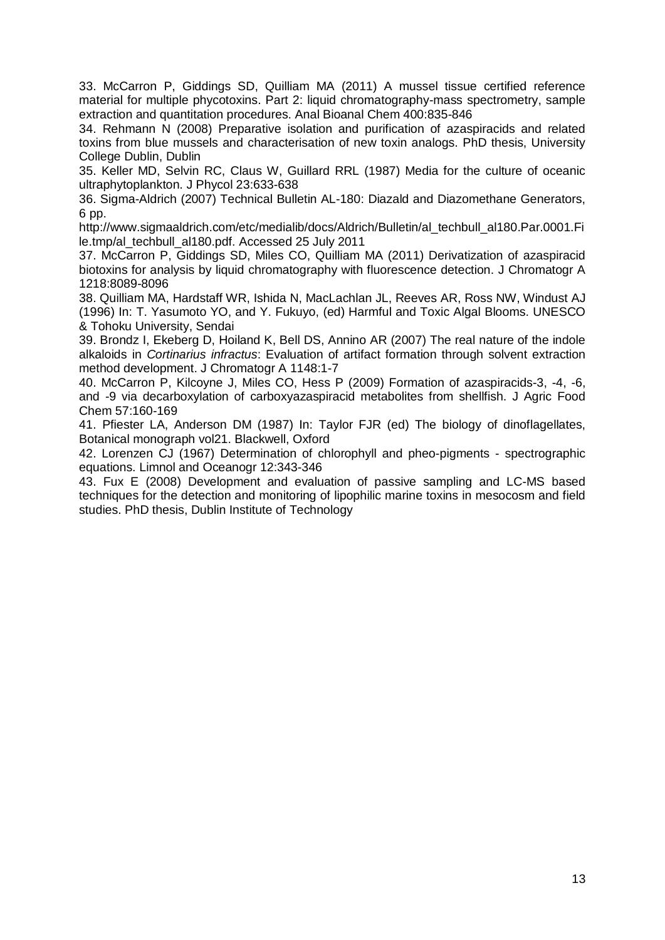33. McCarron P, Giddings SD, Quilliam MA (2011) A mussel tissue certified reference material for multiple phycotoxins. Part 2: liquid chromatography-mass spectrometry, sample extraction and quantitation procedures. Anal Bioanal Chem 400:835-846

34. Rehmann N (2008) Preparative isolation and purification of azaspiracids and related toxins from blue mussels and characterisation of new toxin analogs. PhD thesis, University College Dublin, Dublin

35. Keller MD, Selvin RC, Claus W, Guillard RRL (1987) Media for the culture of oceanic ultraphytoplankton. J Phycol 23:633-638

36. Sigma-Aldrich (2007) Technical Bulletin AL-180: Diazald and Diazomethane Generators, 6 pp.

http://www.sigmaaldrich.com/etc/medialib/docs/Aldrich/Bulletin/al\_techbull\_al180.Par.0001.Fi le.tmp/al\_techbull\_al180.pdf. Accessed 25 July 2011

37. McCarron P, Giddings SD, Miles CO, Quilliam MA (2011) Derivatization of azaspiracid biotoxins for analysis by liquid chromatography with fluorescence detection. J Chromatogr A 1218:8089-8096

38. Quilliam MA, Hardstaff WR, Ishida N, MacLachlan JL, Reeves AR, Ross NW, Windust AJ (1996) In: T. Yasumoto YO, and Y. Fukuyo, (ed) Harmful and Toxic Algal Blooms. UNESCO & Tohoku University, Sendai

39. Brondz I, Ekeberg D, Hoiland K, Bell DS, Annino AR (2007) The real nature of the indole alkaloids in *Cortinarius infractus*: Evaluation of artifact formation through solvent extraction method development. J Chromatogr A 1148:1-7

40. McCarron P, Kilcoyne J, Miles CO, Hess P (2009) Formation of azaspiracids-3, -4, -6, and -9 via decarboxylation of carboxyazaspiracid metabolites from shellfish. J Agric Food Chem 57:160-169

41. Pfiester LA, Anderson DM (1987) In: Taylor FJR (ed) The biology of dinoflagellates, Botanical monograph vol21. Blackwell, Oxford

42. Lorenzen CJ (1967) Determination of chlorophyll and pheo-pigments - spectrographic equations. Limnol and Oceanogr 12:343-346

43. Fux E (2008) Development and evaluation of passive sampling and LC-MS based techniques for the detection and monitoring of lipophilic marine toxins in mesocosm and field studies. PhD thesis, Dublin Institute of Technology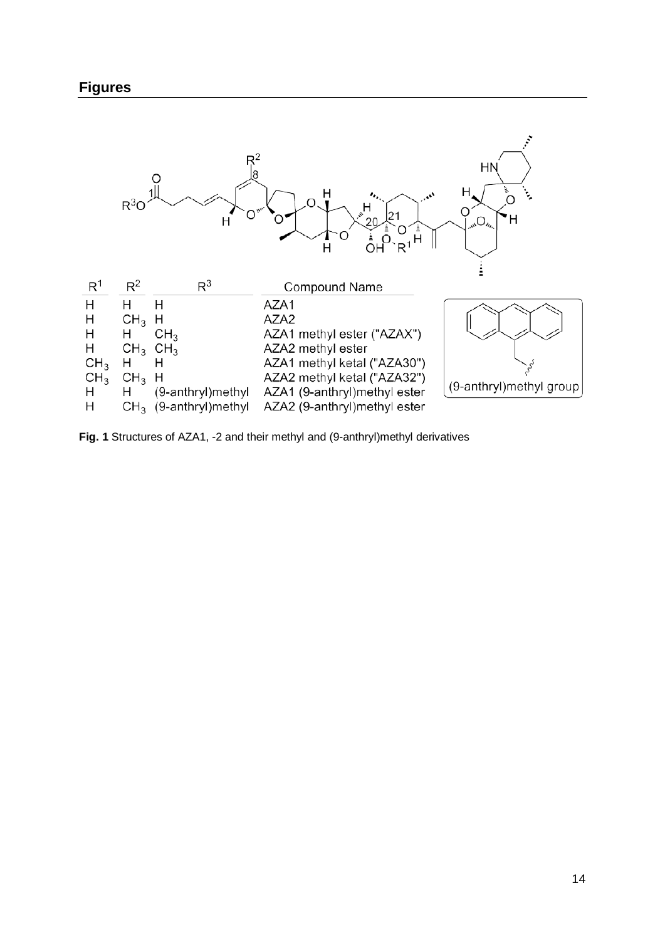

**Fig. 1** Structures of AZA1, -2 and their methyl and (9-anthryl)methyl derivatives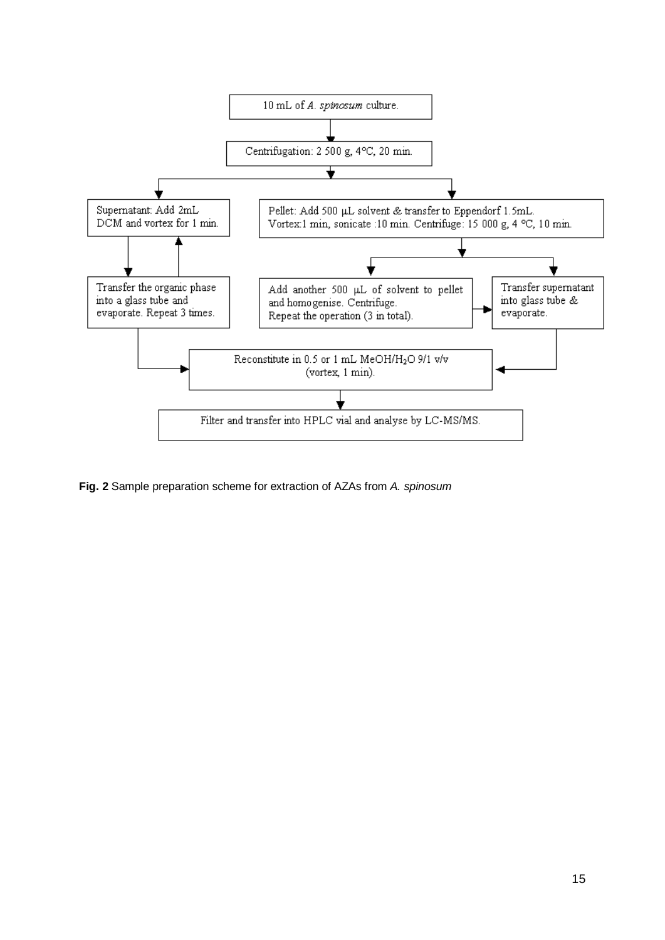

**Fig. 2** Sample preparation scheme for extraction of AZAs from *A. spinosum*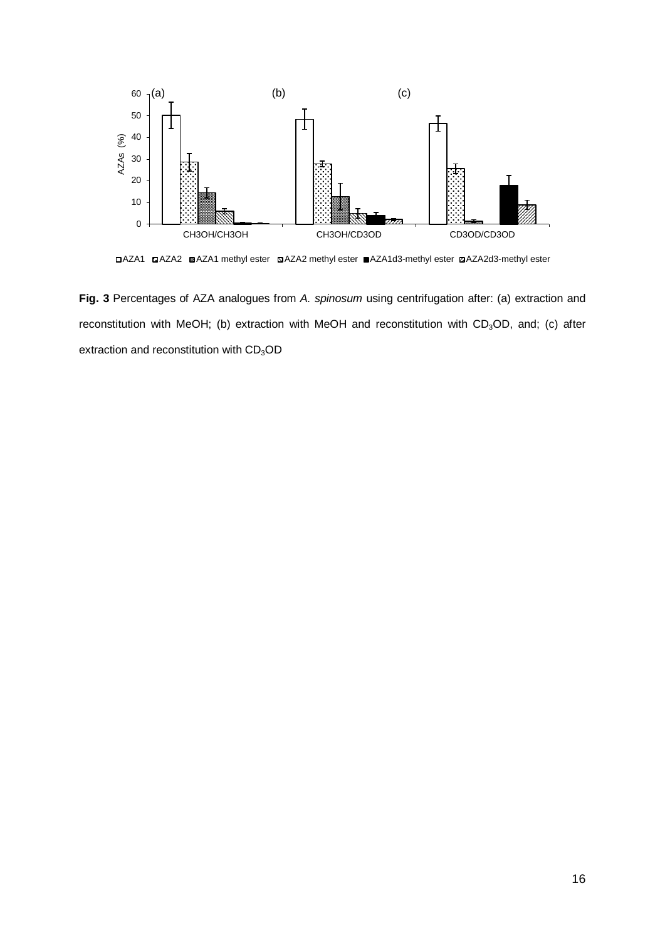

AZA1 AZA2 AZA1 methyl ester AZA2 methyl ester AZA1d3-methyl ester AZA2d3-methyl ester

**Fig. 3** Percentages of AZA analogues from *A. spinosum* using centrifugation after: (a) extraction and reconstitution with MeOH; (b) extraction with MeOH and reconstitution with CD<sub>3</sub>OD, and; (c) after extraction and reconstitution with  $CD<sub>3</sub>OD$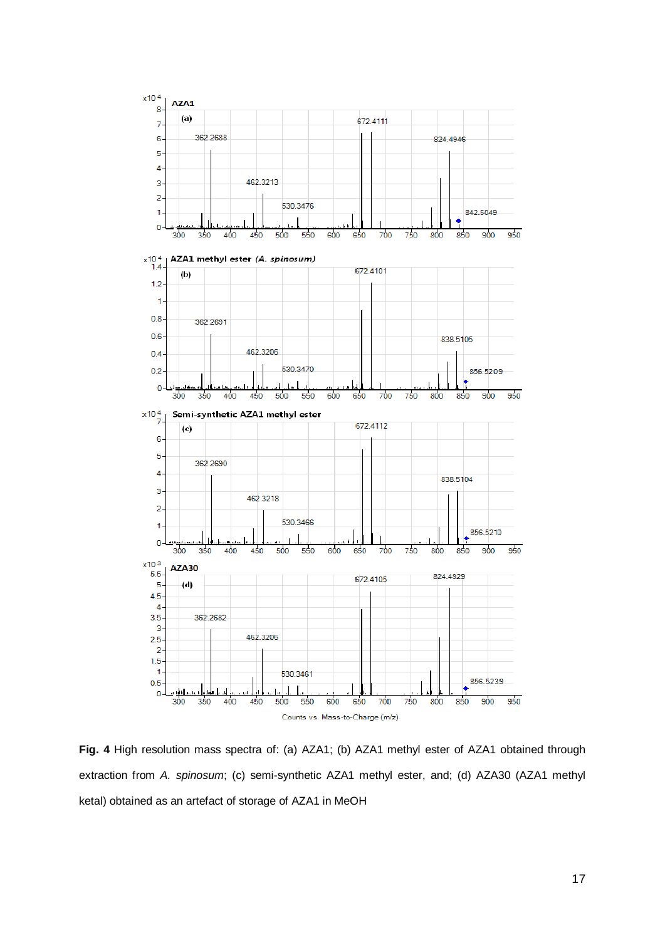

**Fig. 4** High resolution mass spectra of: (a) AZA1; (b) AZA1 methyl ester of AZA1 obtained through extraction from *A. spinosum*; (c) semi-synthetic AZA1 methyl ester, and; (d) AZA30 (AZA1 methyl ketal) obtained as an artefact of storage of AZA1 in MeOH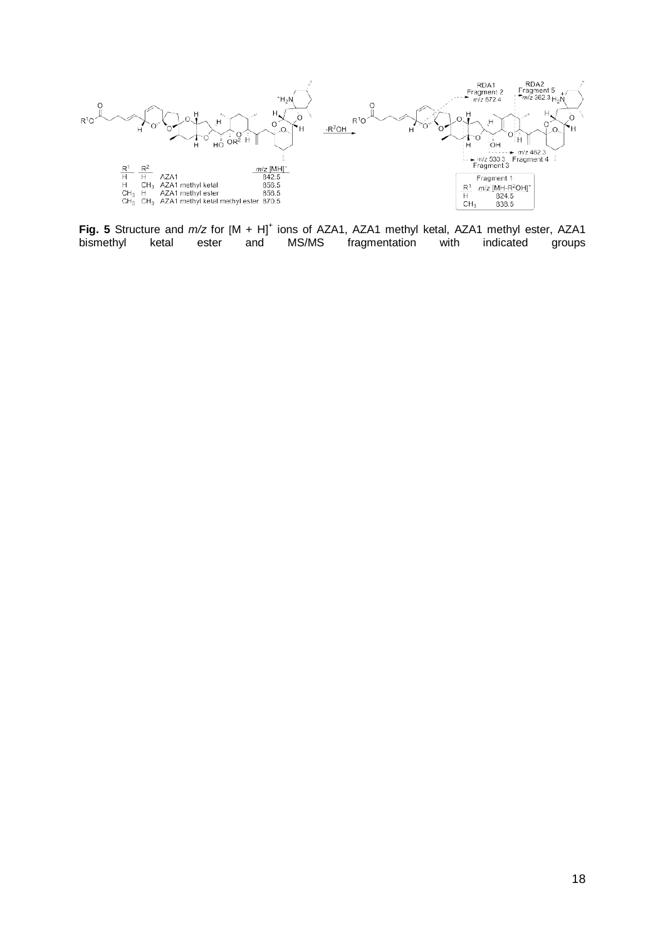

**Fig. 5** Structure and *m/z* for  $[M + H]^+$  ions of AZA1, AZA1 methyl ketal, AZA1 methyl ester, AZA1 bismethyl ketal ester and MS/MS fragmentation with indicated groups fragmentation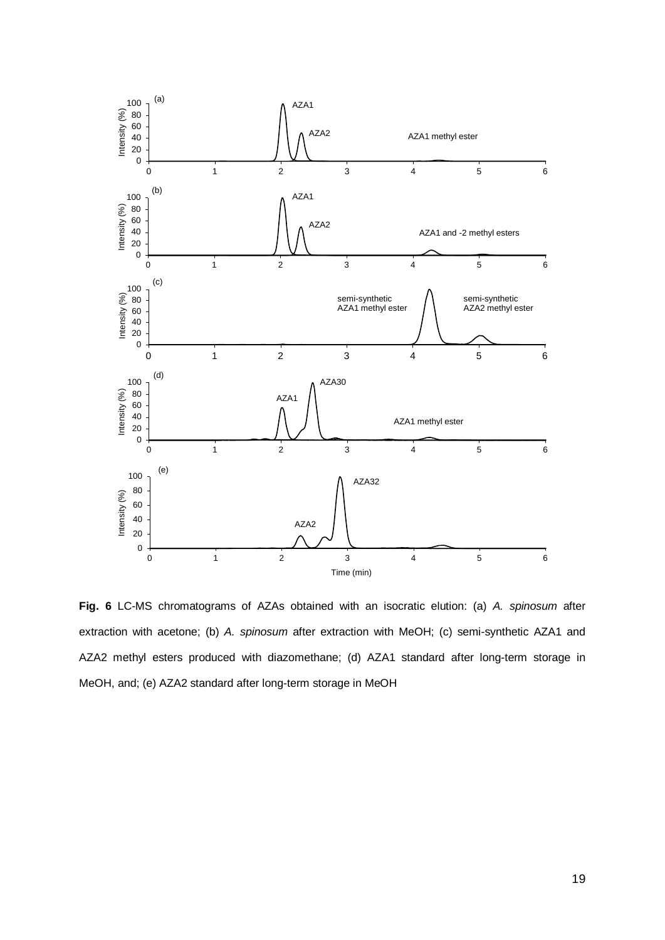

**Fig. 6** LC-MS chromatograms of AZAs obtained with an isocratic elution: (a) *A. spinosum* after extraction with acetone; (b) *A. spinosum* after extraction with MeOH; (c) semi-synthetic AZA1 and AZA2 methyl esters produced with diazomethane; (d) AZA1 standard after long-term storage in MeOH, and; (e) AZA2 standard after long-term storage in MeOH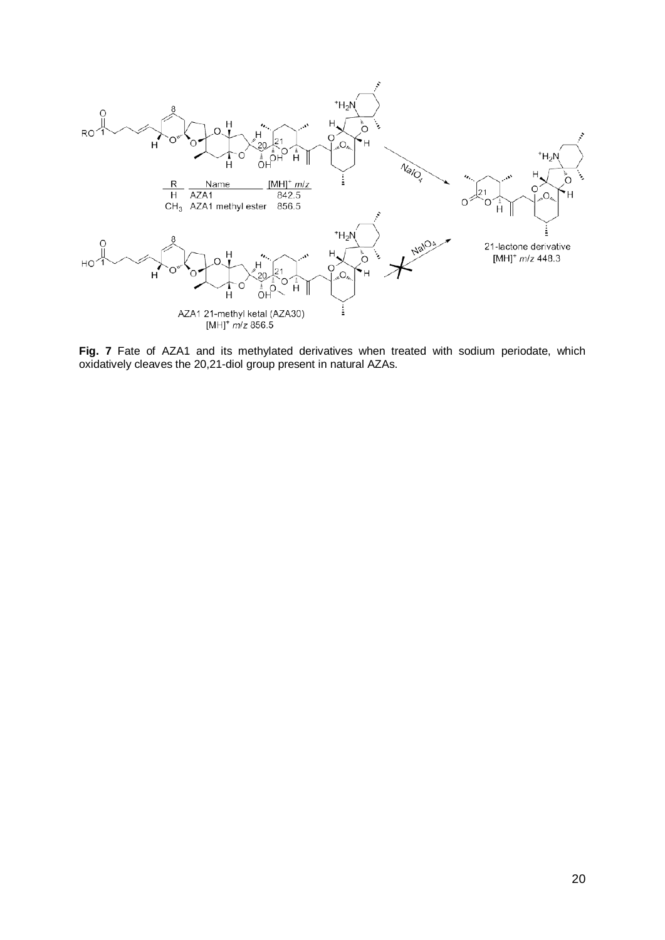

Fig. 7 Fate of AZA1 and its methylated derivatives when treated with sodium periodate, which oxidatively cleaves the 20,21-diol group present in natural AZAs.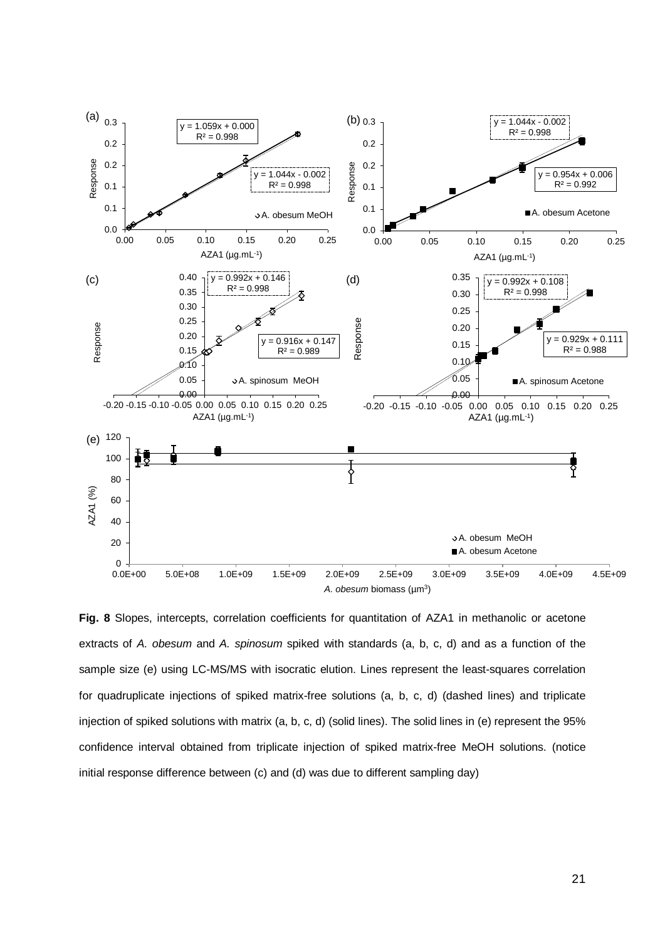

**Fig. 8** Slopes, intercepts, correlation coefficients for quantitation of AZA1 in methanolic or acetone extracts of *A. obesum* and *A. spinosum* spiked with standards (a, b, c, d) and as a function of the sample size (e) using LC-MS/MS with isocratic elution. Lines represent the least-squares correlation for quadruplicate injections of spiked matrix-free solutions (a, b, c, d) (dashed lines) and triplicate injection of spiked solutions with matrix (a, b, c, d) (solid lines). The solid lines in (e) represent the 95% confidence interval obtained from triplicate injection of spiked matrix-free MeOH solutions. (notice initial response difference between (c) and (d) was due to different sampling day)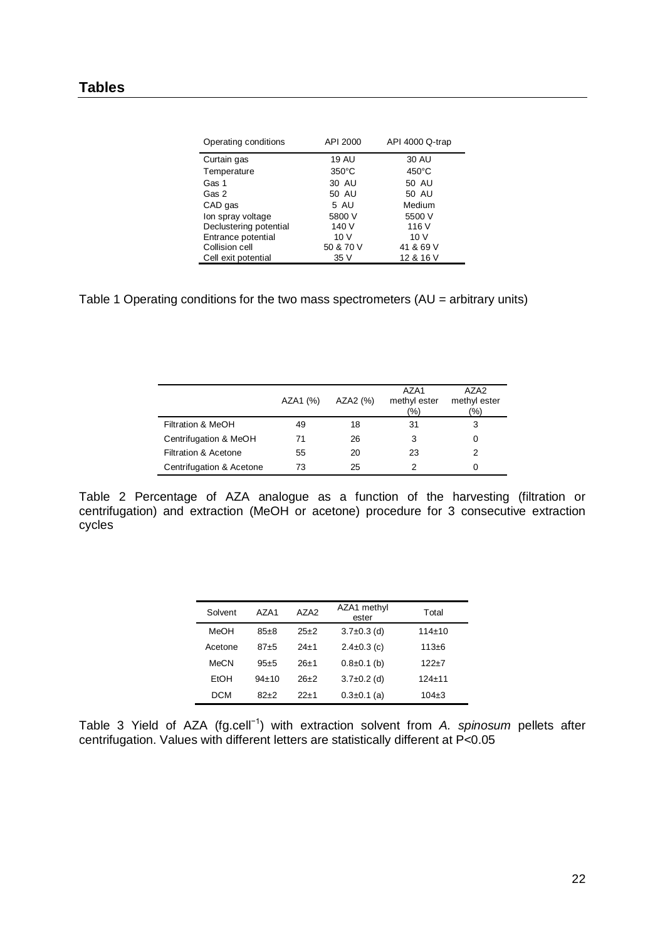| Operating conditions   | API 2000        | API 4000 Q-trap |
|------------------------|-----------------|-----------------|
| Curtain gas            | <b>19 AU</b>    | 30 AU           |
| Temperature            | $350^{\circ}$ C | $450^{\circ}$ C |
| Gas 1                  | 30 AU           | 50 AU           |
| Gas 2                  | 50 AU           | 50 AU           |
| CAD gas                | 5 AU            | Medium          |
| Ion spray voltage      | 5800 V          | 5500 V          |
| Declustering potential | 140 V           | 116 V           |
| Entrance potential     | 10V             | 10 <sub>V</sub> |
| Collision cell         | 50 & 70 V       | 41 & 69 V       |
| Cell exit potential    | 35 V            | 12 & 16 V       |

Table 1 Operating conditions for the two mass spectrometers (AU = arbitrary units)

|                          | AZA1 (%) | AZA2 (%) | AZA1<br>methyl ester<br>(%) | AZA <sub>2</sub><br>methyl ester<br>(%) |
|--------------------------|----------|----------|-----------------------------|-----------------------------------------|
| Filtration & MeOH        | 49       | 18       | 31                          | 3                                       |
| Centrifugation & MeOH    | 71       | 26       | 3                           |                                         |
| Filtration & Acetone     | 55       | 20       | 23                          |                                         |
| Centrifugation & Acetone | 73       | 25       | 2                           |                                         |

Table 2 Percentage of AZA analogue as a function of the harvesting (filtration or centrifugation) and extraction (MeOH or acetone) procedure for 3 consecutive extraction cycles

| Solvent     | A7A1        | AZA <sub>2</sub> | AZA1 methyl<br>ester | Total        |
|-------------|-------------|------------------|----------------------|--------------|
| MeOH        | $85+8$      | $25+2$           | $3.7\pm0.3$ (d)      | $114 \pm 10$ |
| Acetone     | $87 + 5$    | $24+1$           | $2.4 \pm 0.3$ (c)    | $113 + 6$    |
| <b>MeCN</b> | $95+5$      | $26+1$           | $0.8 \pm 0.1$ (b)    | $122+7$      |
| EtOH        | $94 \pm 10$ | $26+2$           | $3.7 \pm 0.2$ (d)    | $124 + 11$   |
| DCM         | $82+2$      | $22+1$           | $0.3 \pm 0.1$ (a)    | $104\pm3$    |

Table 3 Yield of AZA (fg.cell−1) with extraction solvent from *A. spinosum* pellets after centrifugation. Values with different letters are statistically different at P<0.05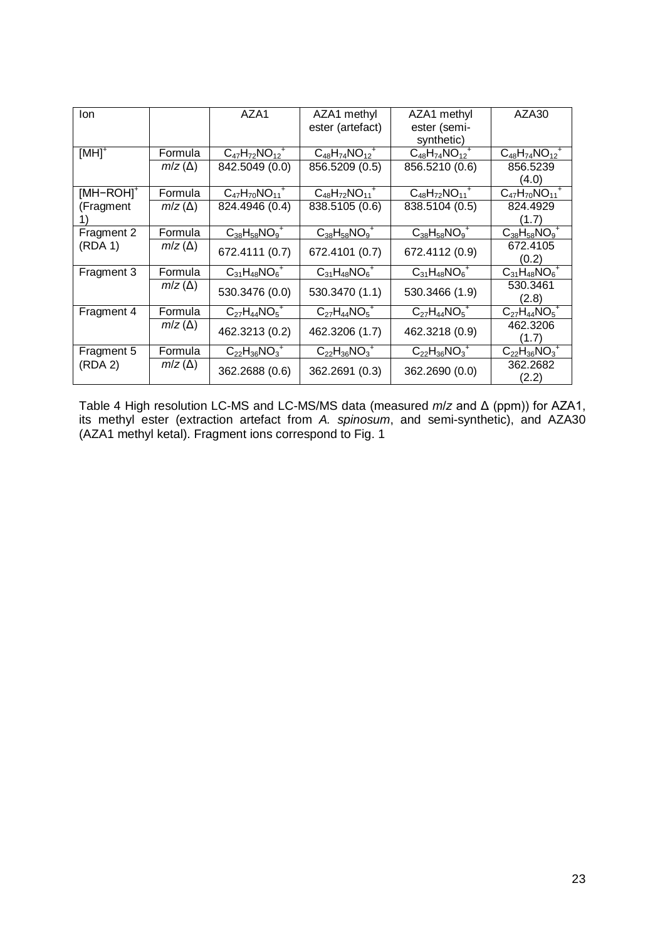| lon                   |                          | AZA1                    | AZA1 methyl             | AZA1 methyl             | AZA30                              |
|-----------------------|--------------------------|-------------------------|-------------------------|-------------------------|------------------------------------|
|                       |                          |                         | ester (artefact)        | ester (semi-            |                                    |
|                       |                          |                         |                         | synthetic)              |                                    |
| $[MH]$ <sup>+</sup>   | Formula                  | $C_{47}H_{72}NO_{12}^+$ | $C_{48}H_{74}NO_{12}^+$ | $C_{48}H_{74}NO_{12}^+$ | $C_{48}H_{74}NO_{12}^+$            |
|                       | $m/z(\Delta)$            | 842.5049 (0.0)          | 856.5209 (0.5)          | 856.5210 (0.6)          | 856.5239                           |
|                       |                          |                         |                         |                         | (4.0)                              |
| [MH-ROH] <sup>+</sup> | Formula                  | $C_{47}H_{70}NO_{11}^+$ | $C_{48}H_{72}NO_{11}^+$ | $C_{48}H_{72}NO_{11}^+$ | $C_{47}H_{70}NO_{11}$ <sup>+</sup> |
| (Fragment             | $m/z(\Delta)$            | 824.4946 (0.4)          | 838.5105 (0.6)          | 838.5104 (0.5)          | 824.4929                           |
|                       |                          |                         |                         |                         | (1.7)                              |
| Fragment 2            | Formula                  | $C_{38}H_{58}NO_9^+$    | $C_{38}H_{58}NO_9^+$    | $C_{38}H_{58}NO_9^+$    | $C_{38}H_{58}NO_9^+$               |
| (RDA 1)               | $m/z(\Delta)$            | 672.4111 (0.7)          | 672.4101 (0.7)          | 672.4112 (0.9)          | 672.4105                           |
|                       |                          |                         |                         |                         | (0.2)                              |
| Fragment 3            | Formula                  | $C_{31}H_{48}NO_6^+$    | $C_{31}H_{48}NO_6^+$    | $C_{31}H_{48}NO_6^+$    | $C_{31}H_{48}NO_6^{-+}$            |
|                       | $m/z(\Delta)$            | 530.3476 (0.0)          | 530.3470 (1.1)          | 530.3466 (1.9)          | 530.3461                           |
|                       |                          |                         |                         |                         | (2.8)                              |
| Fragment 4            | Formula                  | $C_{27}H_{44}NO_5^+$    | $C_{27}H_{44}NO_5^+$    | $C_{27}H_{44}NO_5^+$    | $C_{27}H_{44}NO_5$ <sup>+</sup>    |
|                       | $m/z(\Delta)$            | 462.3213 (0.2)          | 462.3206 (1.7)          | 462.3218 (0.9)          | 462.3206                           |
|                       |                          |                         |                         |                         | (1.7)                              |
| Fragment 5            | Formula<br>$m/z(\Delta)$ | $C_{22}H_{36}NO_3^+$    | $C_{22}H_{36}NO_3^+$    | $C_{22}H_{36}NO_3^+$    | $C_{22}H_{36}NO_3^+$               |
| (RDA 2)               |                          |                         |                         |                         | 362.2682                           |
|                       |                          | 362.2688 (0.6)          | 362.2691 (0.3)          | 362.2690 (0.0)          | (2.2)                              |

Table 4 High resolution LC-MS and LC-MS/MS data (measured *m*/*z* and Δ (ppm)) for AZA1, its methyl ester (extraction artefact from *A. spinosum*, and semi-synthetic), and AZA30 (AZA1 methyl ketal). Fragment ions correspond to Fig. 1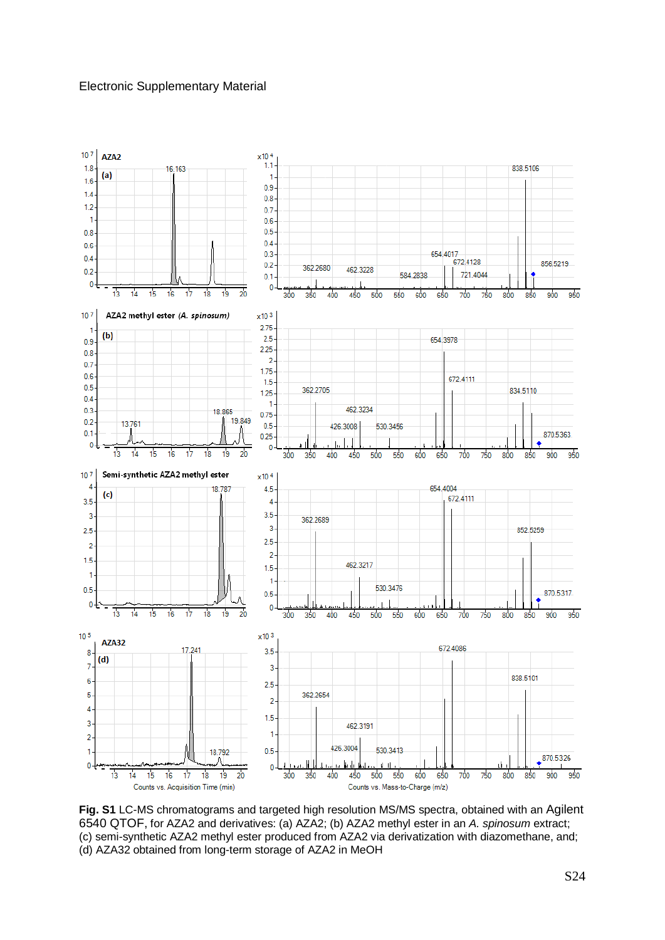#### Electronic Supplementary Material



**Fig. S1** LC-MS chromatograms and targeted high resolution MS/MS spectra, obtained with an Agilent 6540 QTOF, for AZA2 and derivatives: (a) AZA2; (b) AZA2 methyl ester in an *A. spinosum* extract; (c) semi-synthetic AZA2 methyl ester produced from AZA2 via derivatization with diazomethane, and; (d) AZA32 obtained from long-term storage of AZA2 in MeOH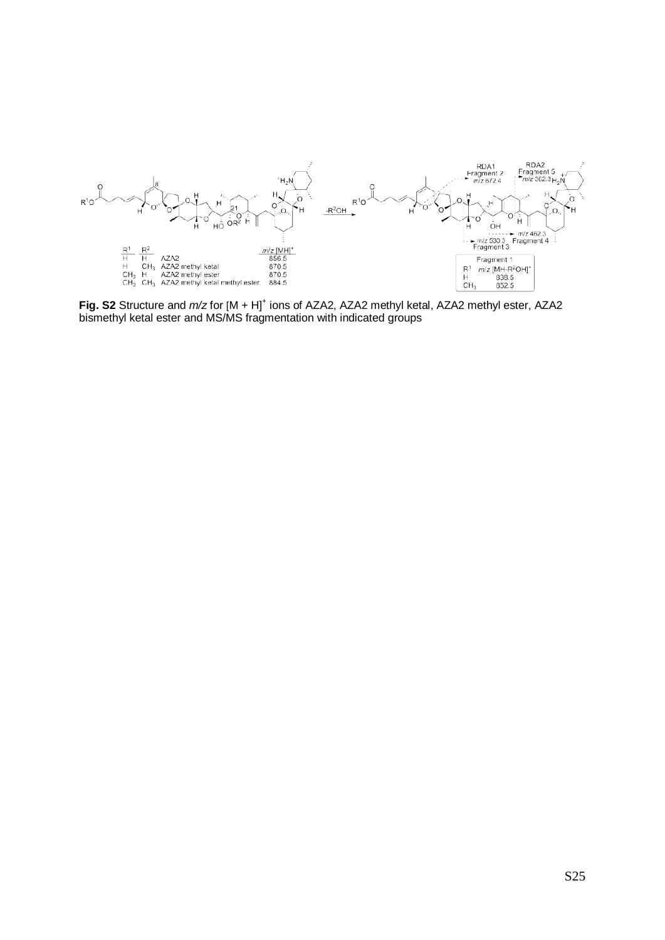

Fig. S2 Structure and  $m/z$  for  $[M + H]^{+}$  ions of AZA2, AZA2 methyl ketal, AZA2 methyl ester, AZA2 bismethyl ketal ester and MS/MS fragmentation with indicated groups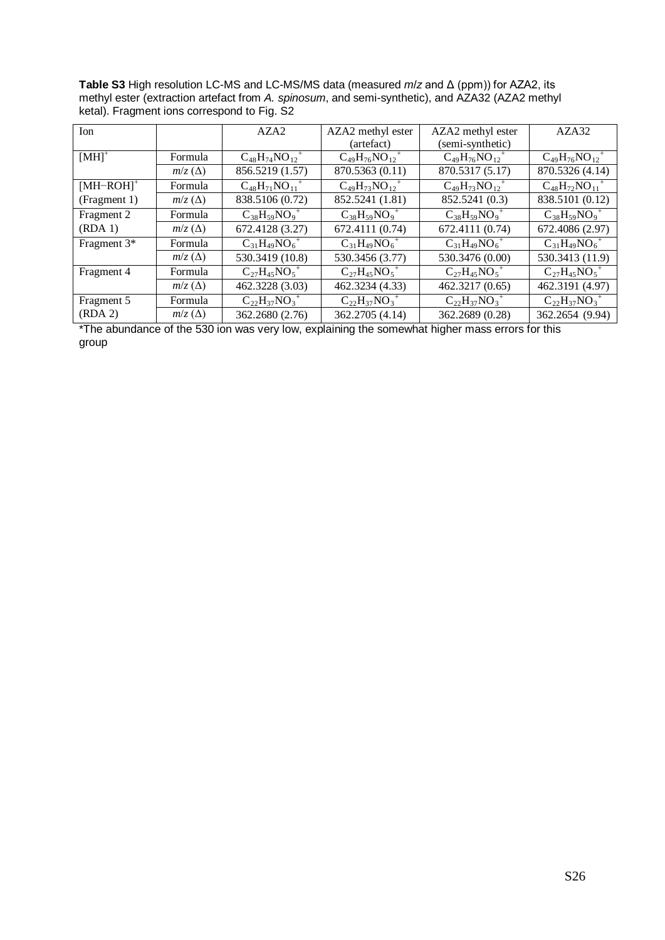**Table S3** High resolution LC-MS and LC-MS/MS data (measured *m*/*z* and Δ (ppm)) for AZA2, its methyl ester (extraction artefact from A. spinosum, and semi-synthetic), and AZA32 (AZA2 methyl ketal). Fragment ions correspond to Fig. S2

| Ion                     |               | AZA <sub>2</sub>                   | AZA2 methyl ester                  | AZA2 methyl ester                  | AZA32                              |
|-------------------------|---------------|------------------------------------|------------------------------------|------------------------------------|------------------------------------|
|                         |               |                                    | (artefact)                         | (semi-synthetic)                   |                                    |
| $[MH]$ <sup>+</sup>     | Formula       | $C_{48}H_{74}NO_{12}$ <sup>+</sup> | $C_{49}H_{76}NO_{12}^+$            | $C_{49}H_{76}NO_{12}$ <sup>+</sup> | $C_{49}H_{76}NO_{12}$ <sup>+</sup> |
|                         | $m/z(\Delta)$ | 856.5219 (1.57)                    | 870.5363 (0.11)                    | 870.5317 (5.17)                    | 870.5326 (4.14)                    |
| $[MH-ROH]$ <sup>+</sup> | Formula       | $C_{48}H_{71}NO_{11}$ <sup>+</sup> | $C_{49}H_{73}NO_{12}$ <sup>+</sup> | $C_{49}H_{73}NO_{12}$ <sup>+</sup> | $C_{48}H_{72}NO_{11}$ <sup>+</sup> |
| (Fragment 1)            | $m/z(\Delta)$ | 838.5106 (0.72)                    | 852.5241 (1.81)                    | 852.5241 (0.3)                     | 838.5101 (0.12)                    |
| Fragment 2              | Formula       | $C_{38}H_{59}NO_9$ <sup>+</sup>    | $C_{38}H_{59}NO_9$ <sup>+</sup>    | $C_{38}H_{59}NO_9^+$               | $C_{38}H_{59}NO_9^+$               |
| (RDA1)                  | $m/z(\Delta)$ | 672.4128 (3.27)                    | 672.4111 (0.74)                    | 672.4111 (0.74)                    | 672.4086 (2.97)                    |
| Fragment 3*             | Formula       | $C_{31}H_{49}NO_6^+$               | $C_{31}H_{49}NO_6^+$               | $C_{31}H_{49}NO_6^+$               | $C_{31}H_{49}NO_6^+$               |
|                         | $m/z(\Delta)$ | 530.3419 (10.8)                    | 530.3456 (3.77)                    | 530.3476 (0.00)                    | 530.3413 (11.9)                    |
| Fragment 4              | Formula       | $C_{27}H_{45}NO_5$ <sup>+</sup>    | $C_{27}H_{45}NO_5$ <sup>+</sup>    | $C_{27}H_{45}NO_5$ <sup>+</sup>    | $C_{27}H_{45}NO_5$ <sup>+</sup>    |
|                         | $m/z(\Delta)$ | 462.3228 (3.03)                    | 462.3234 (4.33)                    | 462.3217 (0.65)                    | 462.3191 (4.97)                    |
| Fragment 5              | Formula       | $C_{22}H_{37}NO_3$ <sup>+</sup>    | $C_{22}H_{37}NO_3$ <sup>+</sup>    | $C_{22}H_{37}NO_3$ <sup>+</sup>    | $C_{22}H_{37}NO_3^+$               |
| (RDA 2)                 | $m/z(\Delta)$ | 362.2680 (2.76)                    | 362.2705 (4.14)                    | 362.2689 (0.28)                    | 362.2654 (9.94)                    |

\*The abundance of the 530 ion was very low, explaining the somewhat higher mass errors for this group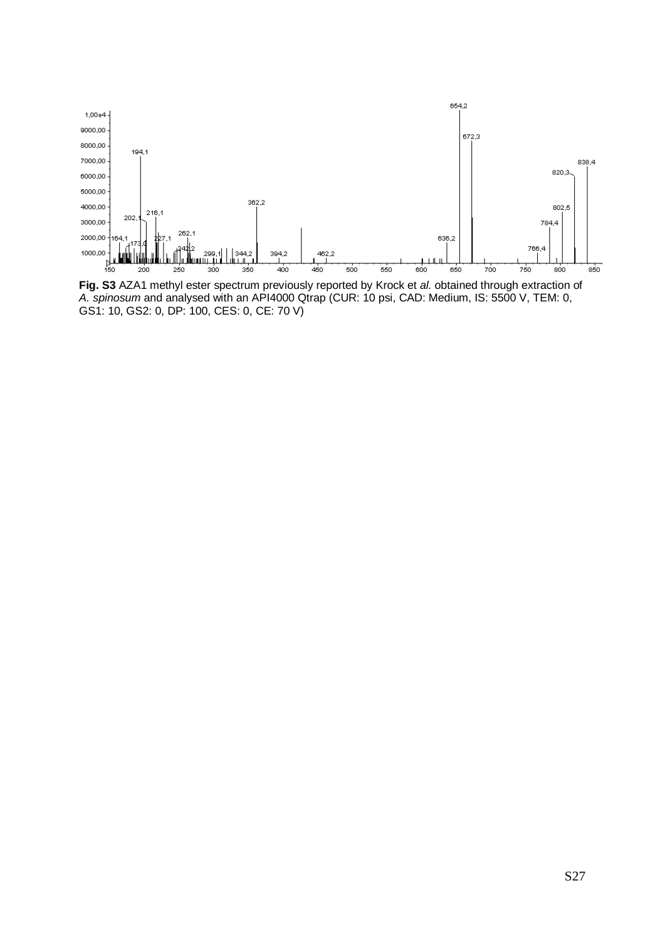

**Fig. S3** AZA1 methyl ester spectrum previously reported by Krock et *al.* obtained through extraction of *A. spinosum* and analysed with an API4000 Qtrap (CUR: 10 psi, CAD: Medium, IS: 5500 V, TEM: 0, GS1: 10, GS2: 0, DP: 100, CES: 0, CE: 70 V)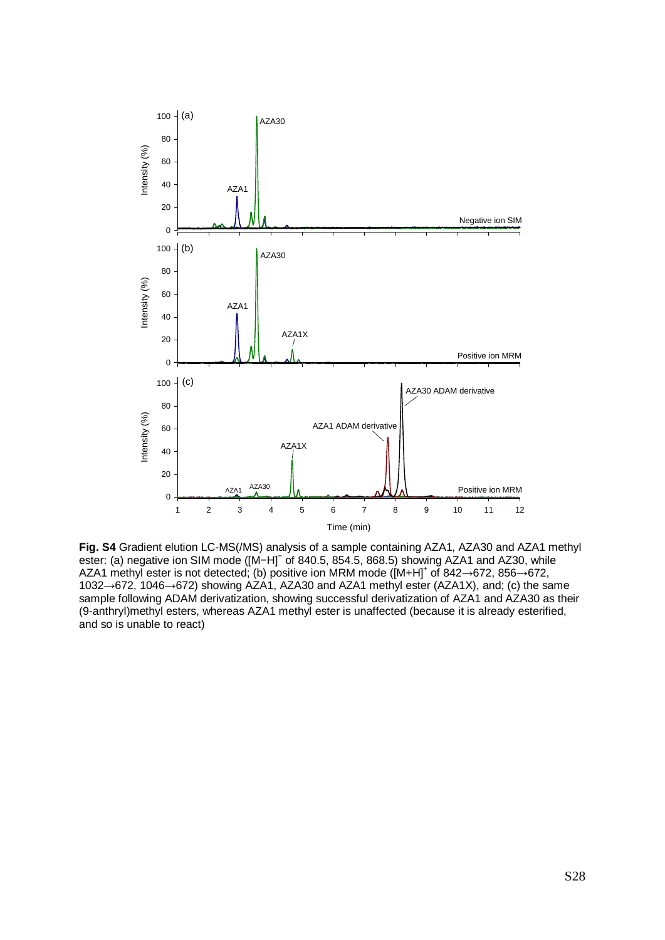

**Fig. S4** Gradient elution LC-MS(/MS) analysis of a sample containing AZA1, AZA30 and AZA1 methyl ester: (a) negative ion SIM mode ([M−H]<sup>−</sup> of 840.5, 854.5, 868.5) showing AZA1 and AZ30, while AZA1 methyl ester is not detected; (b) positive ion MRM mode ([M+H]+ of 842→672, 856→672, 1032→672, 1046→672) showing AZA1, AZA30 and AZA1 methyl ester (AZA1X), and; (c) the same sample following ADAM derivatization, showing successful derivatization of AZA1 and AZA30 as their (9-anthryl)methyl esters, whereas AZA1 methyl ester is unaffected (because it is already esterified, and so is unable to react)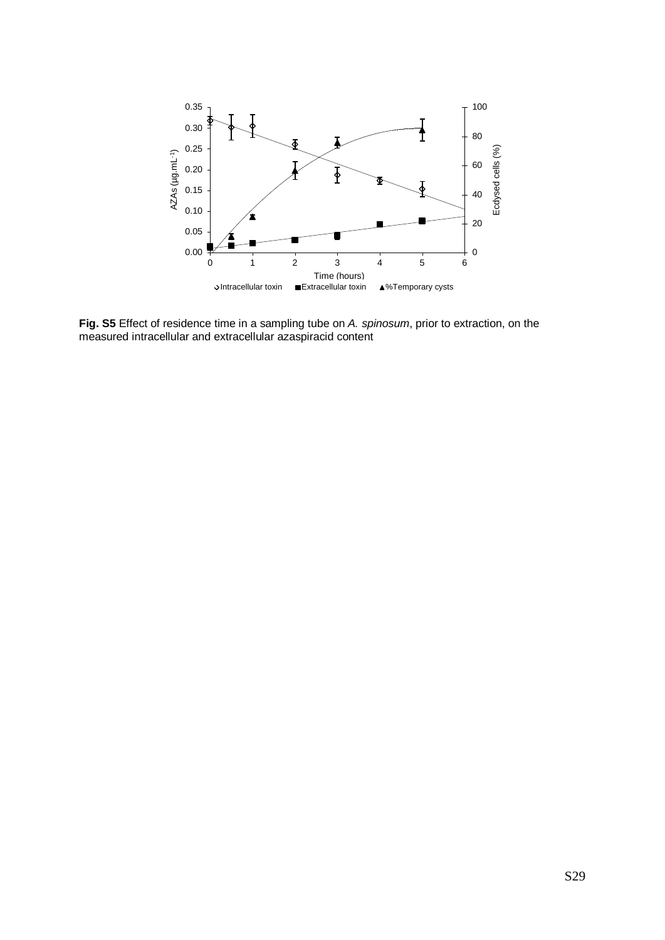

**Fig. S5** Effect of residence time in a sampling tube on *A. spinosum*, prior to extraction, on the measured intracellular and extracellular azaspiracid content